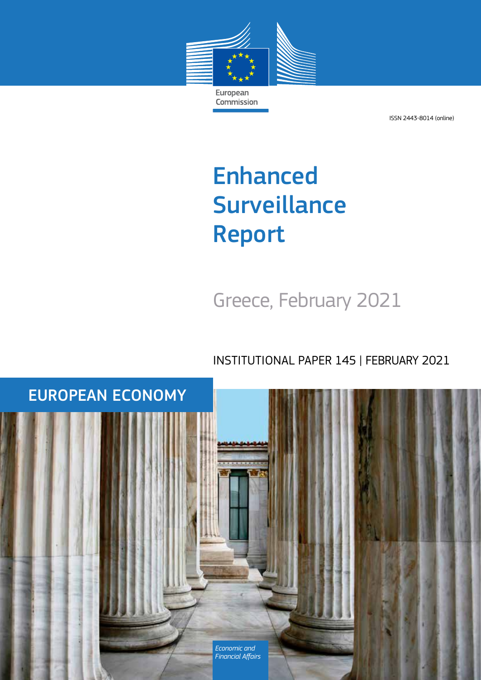

ISSN 2443-8014 (online)

# Enhanced **Surveillance** Report

Greece, February 2021

INSTITUTIONAL PAPER 145 | FEBRUARY 2021

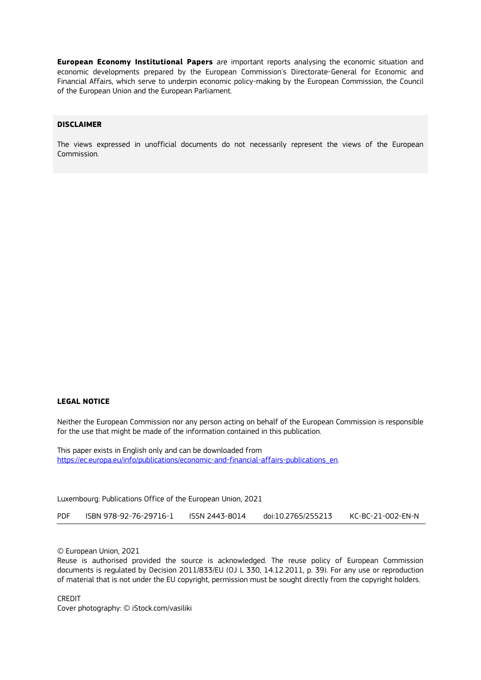**European Economy Institutional Papers** are important reports analysing the economic situation and economic developments prepared by the European Commission's Directorate-General for Economic and Financial Affairs, which serve to underpin economic policy-making by the European Commission, the Council of the European Union and the European Parliament.

#### **DISCLAIMER**

The views expressed in unofficial documents do not necessarily represent the views of the European Commission.

#### **LEGAL NOTICE**

Neither the European Commission nor any person acting on behalf of the European Commission is responsible for the use that might be made of the information contained in this publication.

This paper exists in English only and can be downloaded from [https://ec.europa.eu/info/publications/economic-and-financial-affairs-publications\\_en.](https://ec.europa.eu/info/publications/economic-and-financial-affairs-publications_en)

Luxembourg: Publications Office of the European Union, 2021

PDF ISBN 978-92-76-29716-1 ISSN 2443-8014 [doi:10.2765/255213](http://data.europa.eu/doi/10.2765/xxxxx) KC-BC-21-002-EN-N

© European Union, 2021 Reuse is authorised provided the source is acknowledged. The reuse policy of European Commission documents is regulated by Decision 2011/833/EU (OJ L 330, 14.12.2011, p. 39). For any use or reproduction of material that is not under the EU copyright, permission must be sought directly from the copyright holders.

CREDIT Cover photography: © iStock.com/vasiliki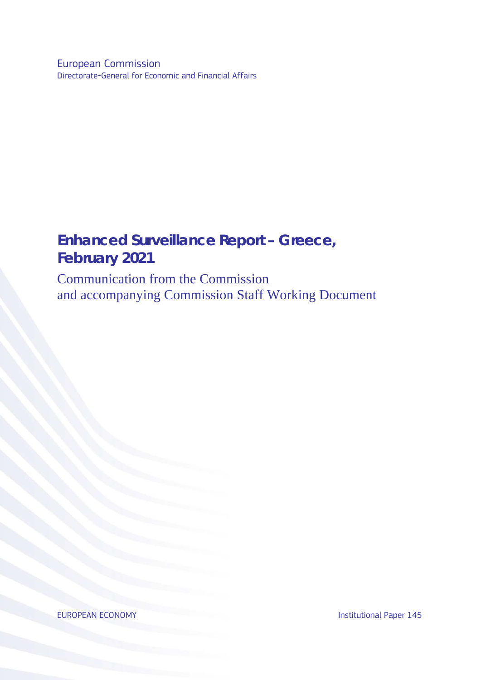European Commission Directorate-General for Economic and Financial Affairs

# **Enhanced Surveillance Report – Greece, February 2021**

Communication from the Commission and accompanying Commission Staff Working Document

EUROPEAN ECONOMY **Institutional Paper 145**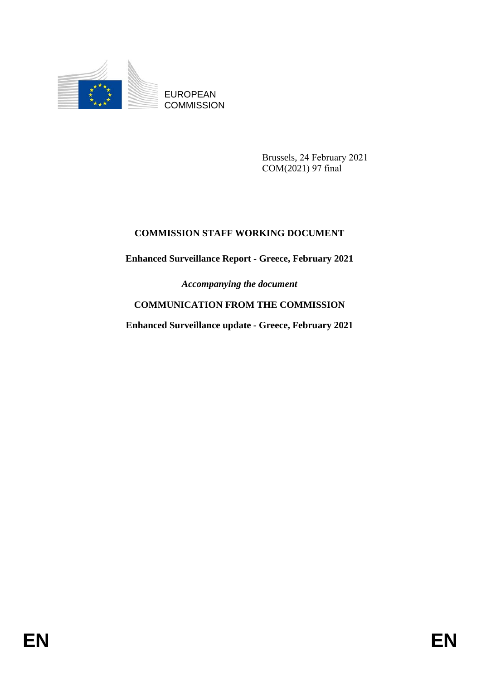

EUROPEAN **COMMISSION** 

> Brussels, 24 February 2021 COM(2021) 97 final

# **COMMISSION STAFF WORKING DOCUMENT**

## **Enhanced Surveillance Report - Greece, February 2021**

*Accompanying the document*

# **COMMUNICATION FROM THE COMMISSION**

**Enhanced Surveillance update - Greece, February 2021**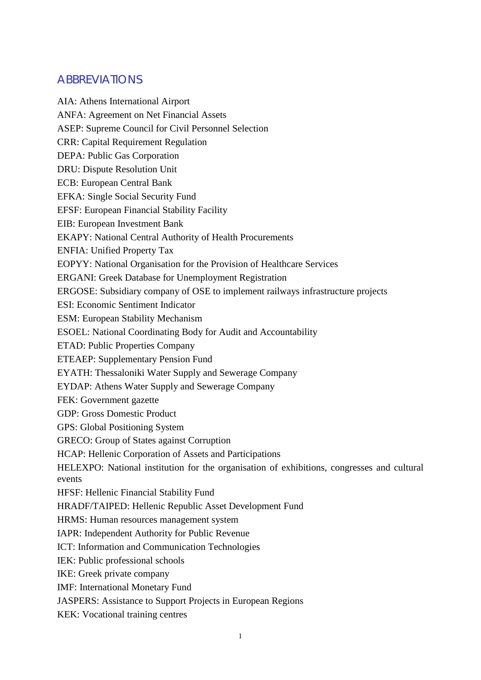# **ABBREVIATIONS**

AIA: Athens International Airport ANFA: Agreement on Net Financial Assets ASEP: Supreme Council for Civil Personnel Selection CRR: Capital Requirement Regulation DEPA: Public Gas Corporation DRU: Dispute Resolution Unit ECB: European Central Bank EFKA: Single Social Security Fund EFSF: European Financial Stability Facility EIB: European Investment Bank EKAPY: National Central Authority of Health Procurements ENFIA: Unified Property Tax EOPYY: National Organisation for the Provision of Healthcare Services ERGANI: Greek Database for Unemployment Registration ERGOSE: Subsidiary company of OSE to implement railways infrastructure projects ESI: Economic Sentiment Indicator ESM: European Stability Mechanism ESOEL: National Coordinating Body for Audit and Accountability ETAD: Public Properties Company ETEAEP: Supplementary Pension Fund EYATH: Thessaloniki Water Supply and Sewerage Company EYDAP: Athens Water Supply and Sewerage Company FEK: Government gazette GDP: Gross Domestic Product GPS: Global Positioning System GRECO: Group of States against Corruption HCAP: Hellenic Corporation of Assets and Participations HELEXPO: National institution for the organisation of exhibitions, congresses and cultural events HFSF: Hellenic Financial Stability Fund HRADF/TAIPED: Hellenic Republic Asset Development Fund HRMS: Human resources management system IAPR: Independent Authority for Public Revenue ICT: Information and Communication Technologies IEK: Public professional schools IKE: Greek private company IMF: International Monetary Fund JASPERS: Assistance to Support Projects in European Regions KEK: Vocational training centres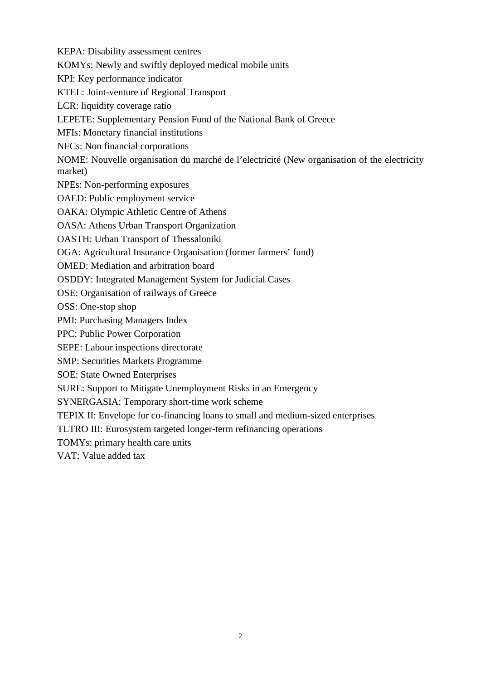KEPA: Disability assessment centres

KOMYs: Newly and swiftly deployed medical mobile units

KPI: Key performance indicator

KTEL: Joint-venture of Regional Transport

LCR: liquidity coverage ratio

LEPETE: Supplementary Pension Fund of the National Bank of Greece

MFIs: Monetary financial institutions

NFCs: Non financial corporations

NOME: Nouvelle organisation du marché de l'electricité (New organisation of the electricity market)

NPEs: Non-performing exposures

OAED: Public employment service

OAKA: Olympic Athletic Centre of Athens

OASA: Athens Urban Transport Organization

OASTH: Urban Transport of Thessaloniki

OGA: Agricultural Insurance Organisation (former farmers' fund)

OMED: Mediation and arbitration board

OSDDY: Integrated Management System for Judicial Cases

OSE: Organisation of railways of Greece

OSS: One-stop shop

PMI: Purchasing Managers Index

PPC: Public Power Corporation

SEPE: Labour inspections directorate

SMP: Securities Markets Programme

SOE: State Owned Enterprises

SURE: Support to Mitigate Unemployment Risks in an Emergency

SYNERGASIA: Temporary short-time work scheme

TEPIX II: Envelope for co-financing loans to small and medium-sized enterprises

TLTRO III: Eurosystem targeted longer-term refinancing operations

TOMYs: primary health care units

VAT: Value added tax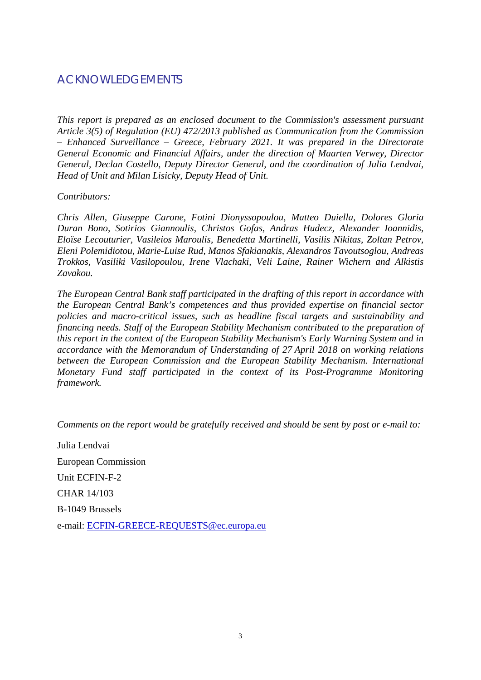# ACKNOWLEDGEMENTS

*This report is prepared as an enclosed document to the Commission's assessment pursuant Article 3(5) of Regulation (EU) 472/2013 published as Communication from the Commission – Enhanced Surveillance – Greece, February 2021. It was prepared in the Directorate General Economic and Financial Affairs, under the direction of Maarten Verwey, Director General, Declan Costello, Deputy Director General, and the coordination of Julia Lendvai, Head of Unit and Milan Lisicky, Deputy Head of Unit.*

*Contributors:* 

*Chris Allen, Giuseppe Carone, Fotini Dionyssopoulou, Matteo Duiella, Dolores Gloria Duran Bono, Sotirios Giannoulis, Christos Gofas, Andras Hudecz, Alexander Ioannidis, Eloïse Lecouturier, Vasileios Maroulis, Benedetta Martinelli, Vasilis Nikitas, Zoltan Petrov, Eleni Polemidiotou, Marie-Luise Rud, Manos Sfakianakis, Alexandros Tavoutsoglou, Andreas Trokkos, Vasiliki Vasilopoulou, Irene Vlachaki, Veli Laine, Rainer Wichern and Alkistis Zavakou.* 

*The European Central Bank staff participated in the drafting of this report in accordance with the European Central Bank's competences and thus provided expertise on financial sector policies and macro-critical issues, such as headline fiscal targets and sustainability and financing needs. Staff of the European Stability Mechanism contributed to the preparation of this report in the context of the European Stability Mechanism's Early Warning System and in accordance with the Memorandum of Understanding of 27 April 2018 on working relations between the European Commission and the European Stability Mechanism. International Monetary Fund staff participated in the context of its Post-Programme Monitoring framework.*

*Comments on the report would be gratefully received and should be sent by post or e-mail to:*

Julia Lendvai European Commission Unit ECFIN-F-2 CHAR 14/103 B-1049 Brussels e-mail: [ECFIN-GREECE-REQUESTS@ec.europa.eu](mailto:ECFIN-GREECE-REQUESTS@ec.europa.eu)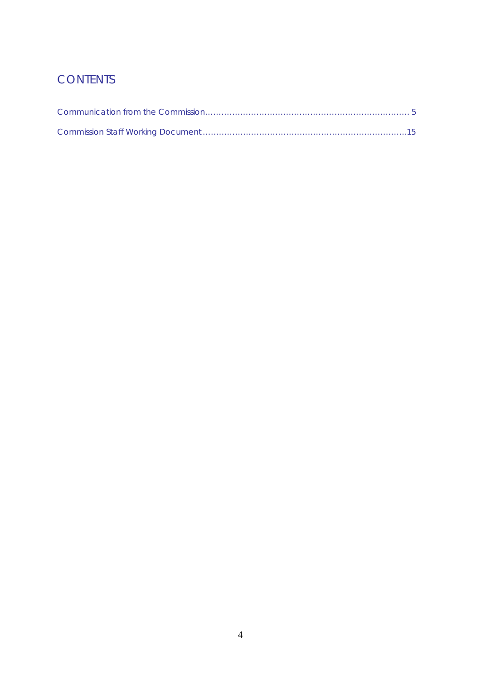# **CONTENTS**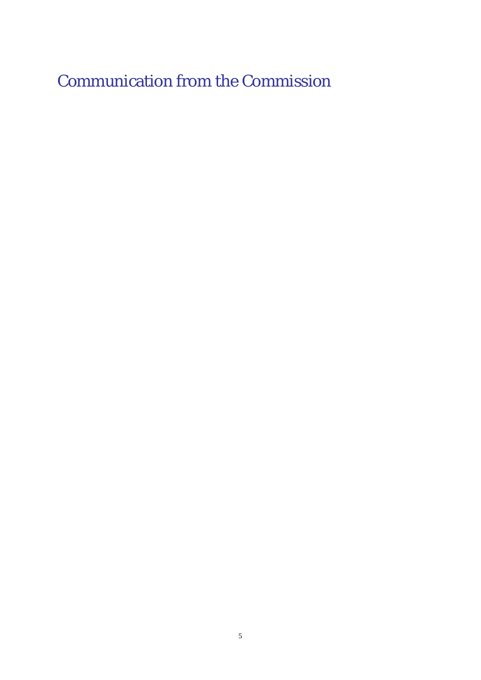Communication from the Commission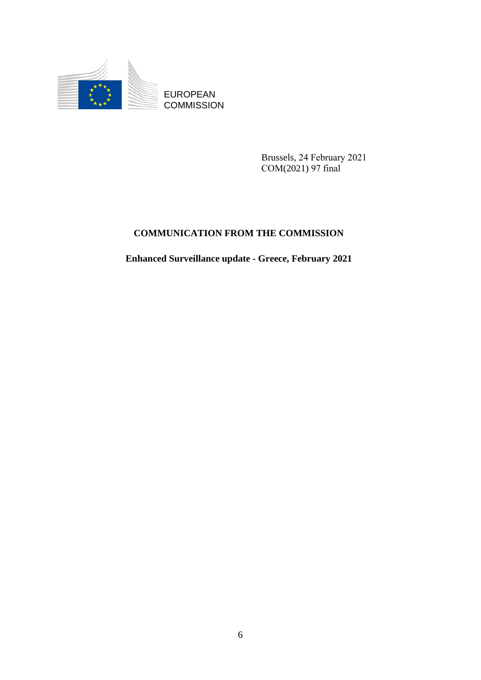

EUROPEAN **COMMISSION** 

> Brussels, 24 February 2021 COM(2021) 97 final

# **COMMUNICATION FROM THE COMMISSION**

**Enhanced Surveillance update - Greece, February 2021**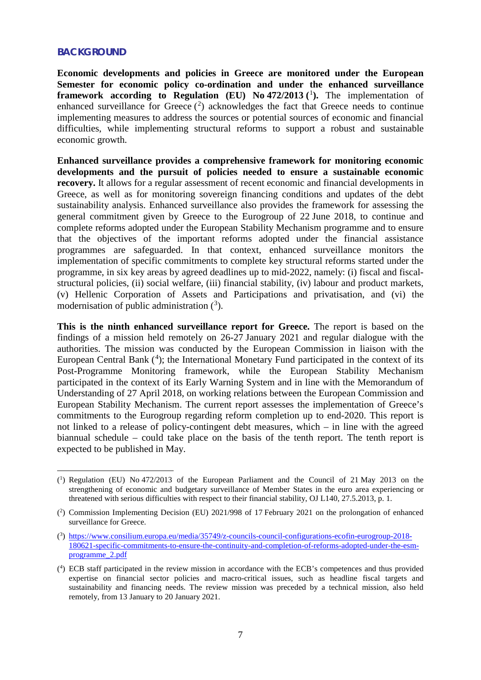## **BACKGROUND**

**Economic developments and policies in Greece are monitored under the European Semester for economic policy co-ordination and under the enhanced surveillance framework according to Regulation (EU) No 472/20[1](#page-10-0)3 (1).** The implementation of enhanced surveillance for Greece  $(2)$  $(2)$  $(2)$  acknowledges the fact that Greece needs to continue implementing measures to address the sources or potential sources of economic and financial difficulties, while implementing structural reforms to support a robust and sustainable economic growth.

**Enhanced surveillance provides a comprehensive framework for monitoring economic developments and the pursuit of policies needed to ensure a sustainable economic recovery.** It allows for a regular assessment of recent economic and financial developments in Greece, as well as for monitoring sovereign financing conditions and updates of the debt sustainability analysis. Enhanced surveillance also provides the framework for assessing the general commitment given by Greece to the Eurogroup of 22 June 2018, to continue and complete reforms adopted under the European Stability Mechanism programme and to ensure that the objectives of the important reforms adopted under the financial assistance programmes are safeguarded. In that context, enhanced surveillance monitors the implementation of specific commitments to complete key structural reforms started under the programme, in six key areas by agreed deadlines up to mid-2022, namely: (i) fiscal and fiscalstructural policies, (ii) social welfare, (iii) financial stability, (iv) labour and product markets, (v) Hellenic Corporation of Assets and Participations and privatisation, and (vi) the modernisation of public administration  $(3)$  $(3)$  $(3)$ .

**This is the ninth enhanced surveillance report for Greece.** The report is based on the findings of a mission held remotely on 26-27 January 2021 and regular dialogue with the authorities. The mission was conducted by the European Commission in liaison with the European Central Bank  $(4)$  $(4)$  $(4)$ ; the International Monetary Fund participated in the context of its Post-Programme Monitoring framework, while the European Stability Mechanism participated in the context of its Early Warning System and in line with the Memorandum of Understanding of 27 April 2018, on working relations between the European Commission and European Stability Mechanism. The current report assesses the implementation of Greece's commitments to the Eurogroup regarding reform completion up to end-2020. This report is not linked to a release of policy-contingent debt measures, which – in line with the agreed biannual schedule – could take place on the basis of the tenth report. The tenth report is expected to be published in May.

<span id="page-10-0"></span><sup>(</sup> 1 ) Regulation (EU) No 472/2013 of the European Parliament and the Council of 21 May 2013 on the strengthening of economic and budgetary surveillance of Member States in the euro area experiencing or threatened with serious difficulties with respect to their financial stability, OJ L140, 27.5.2013, p. 1.

<span id="page-10-1"></span><sup>(</sup> 2 ) Commission Implementing Decision (EU) 2021/998 of 17 February 2021 on the prolongation of enhanced surveillance for Greece.

<span id="page-10-2"></span><sup>(</sup> 3 ) [https://www.consilium.europa.eu/media/35749/z-councils-council-configurations-ecofin-eurogroup-2018-](https://www.consilium.europa.eu/media/35749/z-councils-council-configurations-ecofin-eurogroup-2018-180621-specific-commitments-to-ensure-the-continuity-and-completion-of-reforms-adopted-under-the-esm-programme_2.pdf) [180621-specific-commitments-to-ensure-the-continuity-and-completion-of-reforms-adopted-under-the-esm](https://www.consilium.europa.eu/media/35749/z-councils-council-configurations-ecofin-eurogroup-2018-180621-specific-commitments-to-ensure-the-continuity-and-completion-of-reforms-adopted-under-the-esm-programme_2.pdf)[programme\\_2.pdf](https://www.consilium.europa.eu/media/35749/z-councils-council-configurations-ecofin-eurogroup-2018-180621-specific-commitments-to-ensure-the-continuity-and-completion-of-reforms-adopted-under-the-esm-programme_2.pdf)

<span id="page-10-3"></span><sup>(</sup> 4 ) ECB staff participated in the review mission in accordance with the ECB's competences and thus provided expertise on financial sector policies and macro-critical issues, such as headline fiscal targets and sustainability and financing needs. The review mission was preceded by a technical mission, also held remotely, from 13 January to 20 January 2021.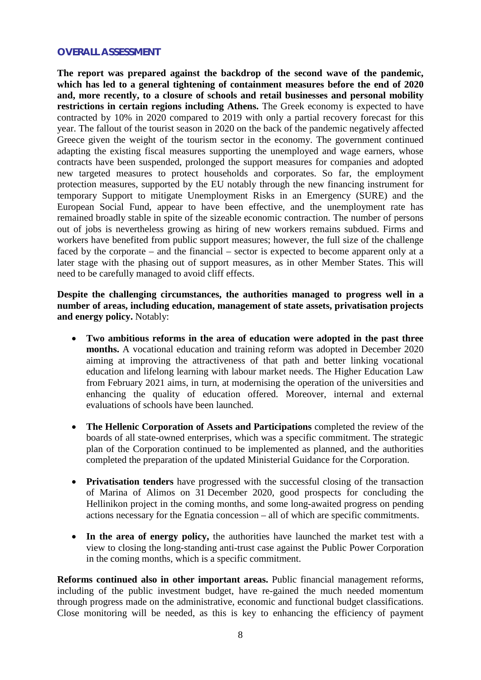## **OVERALL ASSESSMENT**

**The report was prepared against the backdrop of the second wave of the pandemic, which has led to a general tightening of containment measures before the end of 2020 and, more recently, to a closure of schools and retail businesses and personal mobility restrictions in certain regions including Athens.** The Greek economy is expected to have contracted by 10% in 2020 compared to 2019 with only a partial recovery forecast for this year. The fallout of the tourist season in 2020 on the back of the pandemic negatively affected Greece given the weight of the tourism sector in the economy. The government continued adapting the existing fiscal measures supporting the unemployed and wage earners, whose contracts have been suspended, prolonged the support measures for companies and adopted new targeted measures to protect households and corporates. So far, the employment protection measures, supported by the EU notably through the new financing instrument for temporary Support to mitigate Unemployment Risks in an Emergency (SURE) and the European Social Fund, appear to have been effective, and the unemployment rate has remained broadly stable in spite of the sizeable economic contraction. The number of persons out of jobs is nevertheless growing as hiring of new workers remains subdued. Firms and workers have benefited from public support measures; however, the full size of the challenge faced by the corporate – and the financial – sector is expected to become apparent only at a later stage with the phasing out of support measures, as in other Member States. This will need to be carefully managed to avoid cliff effects.

**Despite the challenging circumstances, the authorities managed to progress well in a number of areas, including education, management of state assets, privatisation projects and energy policy.** Notably:

- **Two ambitious reforms in the area of education were adopted in the past three months.** A vocational education and training reform was adopted in December 2020 aiming at improving the attractiveness of that path and better linking vocational education and lifelong learning with labour market needs. The Higher Education Law from February 2021 aims, in turn, at modernising the operation of the universities and enhancing the quality of education offered. Moreover, internal and external evaluations of schools have been launched.
- **The Hellenic Corporation of Assets and Participations** completed the review of the boards of all state-owned enterprises, which was a specific commitment. The strategic plan of the Corporation continued to be implemented as planned, and the authorities completed the preparation of the updated Ministerial Guidance for the Corporation.
- **Privatisation tenders** have progressed with the successful closing of the transaction of Marina of Alimos on 31 December 2020, good prospects for concluding the Hellinikon project in the coming months, and some long-awaited progress on pending actions necessary for the Egnatia concession – all of which are specific commitments.
- **In the area of energy policy,** the authorities have launched the market test with a view to closing the long-standing anti-trust case against the Public Power Corporation in the coming months, which is a specific commitment.

**Reforms continued also in other important areas.** Public financial management reforms, including of the public investment budget, have re-gained the much needed momentum through progress made on the administrative, economic and functional budget classifications. Close monitoring will be needed, as this is key to enhancing the efficiency of payment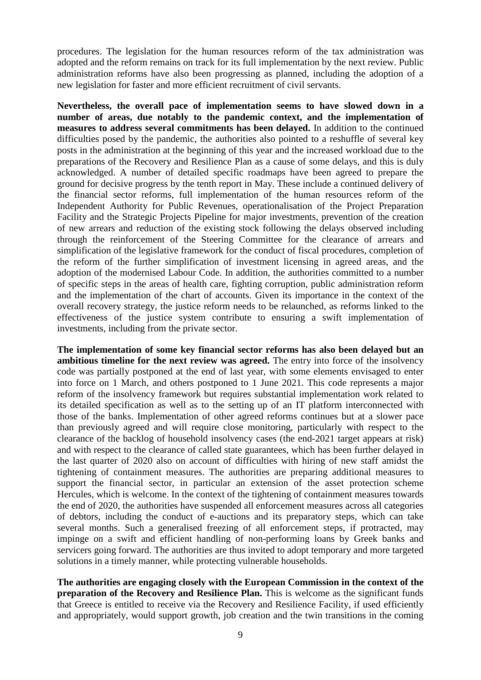procedures. The legislation for the human resources reform of the tax administration was adopted and the reform remains on track for its full implementation by the next review. Public administration reforms have also been progressing as planned, including the adoption of a new legislation for faster and more efficient recruitment of civil servants.

**Nevertheless, the overall pace of implementation seems to have slowed down in a number of areas, due notably to the pandemic context, and the implementation of measures to address several commitments has been delayed.** In addition to the continued difficulties posed by the pandemic, the authorities also pointed to a reshuffle of several key posts in the administration at the beginning of this year and the increased workload due to the preparations of the Recovery and Resilience Plan as a cause of some delays, and this is duly acknowledged. A number of detailed specific roadmaps have been agreed to prepare the ground for decisive progress by the tenth report in May. These include a continued delivery of the financial sector reforms, full implementation of the human resources reform of the Independent Authority for Public Revenues, operationalisation of the Project Preparation Facility and the Strategic Projects Pipeline for major investments, prevention of the creation of new arrears and reduction of the existing stock following the delays observed including through the reinforcement of the Steering Committee for the clearance of arrears and simplification of the legislative framework for the conduct of fiscal procedures, completion of the reform of the further simplification of investment licensing in agreed areas, and the adoption of the modernised Labour Code. In addition, the authorities committed to a number of specific steps in the areas of health care, fighting corruption, public administration reform and the implementation of the chart of accounts. Given its importance in the context of the overall recovery strategy, the justice reform needs to be relaunched, as reforms linked to the effectiveness of the justice system contribute to ensuring a swift implementation of investments, including from the private sector.

**The implementation of some key financial sector reforms has also been delayed but an ambitious timeline for the next review was agreed.** The entry into force of the insolvency code was partially postponed at the end of last year, with some elements envisaged to enter into force on 1 March, and others postponed to 1 June 2021. This code represents a major reform of the insolvency framework but requires substantial implementation work related to its detailed specification as well as to the setting up of an IT platform interconnected with those of the banks. Implementation of other agreed reforms continues but at a slower pace than previously agreed and will require close monitoring, particularly with respect to the clearance of the backlog of household insolvency cases (the end-2021 target appears at risk) and with respect to the clearance of called state guarantees, which has been further delayed in the last quarter of 2020 also on account of difficulties with hiring of new staff amidst the tightening of containment measures. The authorities are preparing additional measures to support the financial sector, in particular an extension of the asset protection scheme Hercules, which is welcome. In the context of the tightening of containment measures towards the end of 2020, the authorities have suspended all enforcement measures across all categories of debtors, including the conduct of e-auctions and its preparatory steps, which can take several months. Such a generalised freezing of all enforcement steps, if protracted, may impinge on a swift and efficient handling of non-performing loans by Greek banks and servicers going forward. The authorities are thus invited to adopt temporary and more targeted solutions in a timely manner, while protecting vulnerable households.

**The authorities are engaging closely with the European Commission in the context of the preparation of the Recovery and Resilience Plan.** This is welcome as the significant funds that Greece is entitled to receive via the Recovery and Resilience Facility, if used efficiently and appropriately, would support growth, job creation and the twin transitions in the coming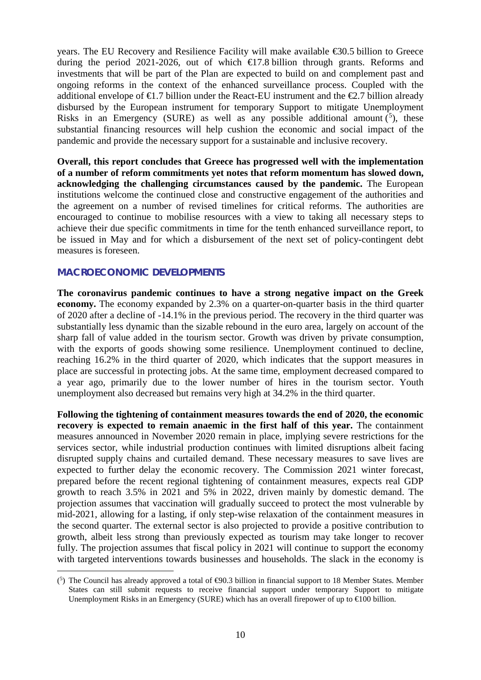years. The EU Recovery and Resilience Facility will make available €30.5 billion to Greece during the period 2021-2026, out of which  $\bigoplus$  7.8 billion through grants. Reforms and investments that will be part of the Plan are expected to build on and complement past and ongoing reforms in the context of the enhanced surveillance process. Coupled with the additional envelope of  $\epsilon$ 1.7 billion under the React-EU instrument and the  $\epsilon$ 2.7 billion already disbursed by the European instrument for temporary Support to mitigate Unemployment Risks in an Emergency (SURE) as well as any possible additional amount  $(5)$  $(5)$  $(5)$ , these substantial financing resources will help cushion the economic and social impact of the pandemic and provide the necessary support for a sustainable and inclusive recovery.

**Overall, this report concludes that Greece has progressed well with the implementation of a number of reform commitments yet notes that reform momentum has slowed down, acknowledging the challenging circumstances caused by the pandemic.** The European institutions welcome the continued close and constructive engagement of the authorities and the agreement on a number of revised timelines for critical reforms. The authorities are encouraged to continue to mobilise resources with a view to taking all necessary steps to achieve their due specific commitments in time for the tenth enhanced surveillance report, to be issued in May and for which a disbursement of the next set of policy-contingent debt measures is foreseen.

## **MACROECONOMIC DEVELOPMENTS**

**The coronavirus pandemic continues to have a strong negative impact on the Greek economy.** The economy expanded by 2.3% on a quarter-on-quarter basis in the third quarter of 2020 after a decline of -14.1% in the previous period. The recovery in the third quarter was substantially less dynamic than the sizable rebound in the euro area, largely on account of the sharp fall of value added in the tourism sector. Growth was driven by private consumption, with the exports of goods showing some resilience. Unemployment continued to decline, reaching 16.2% in the third quarter of 2020, which indicates that the support measures in place are successful in protecting jobs. At the same time, employment decreased compared to a year ago, primarily due to the lower number of hires in the tourism sector. Youth unemployment also decreased but remains very high at 34.2% in the third quarter.

**Following the tightening of containment measures towards the end of 2020, the economic recovery is expected to remain anaemic in the first half of this year.** The containment measures announced in November 2020 remain in place, implying severe restrictions for the services sector, while industrial production continues with limited disruptions albeit facing disrupted supply chains and curtailed demand. These necessary measures to save lives are expected to further delay the economic recovery. The Commission 2021 winter forecast, prepared before the recent regional tightening of containment measures, expects real GDP growth to reach 3.5% in 2021 and 5% in 2022, driven mainly by domestic demand. The projection assumes that vaccination will gradually succeed to protect the most vulnerable by mid-2021, allowing for a lasting, if only step-wise relaxation of the containment measures in the second quarter. The external sector is also projected to provide a positive contribution to growth, albeit less strong than previously expected as tourism may take longer to recover fully. The projection assumes that fiscal policy in 2021 will continue to support the economy with targeted interventions towards businesses and households. The slack in the economy is

<span id="page-13-0"></span> $\overline{a}$  $(5)$  The Council has already approved a total of  $\Theta$ 0.3 billion in financial support to 18 Member States. Member States can still submit requests to receive financial support under temporary Support to mitigate Unemployment Risks in an Emergency (SURE) which has an overall firepower of up to  $\epsilon 000$  billion.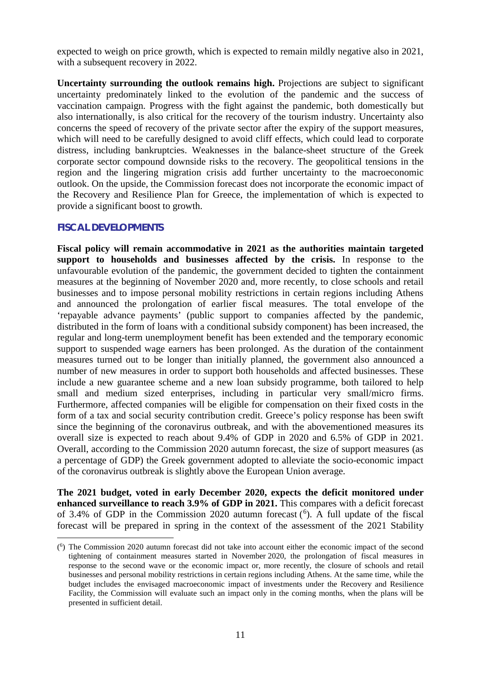expected to weigh on price growth, which is expected to remain mildly negative also in 2021, with a subsequent recovery in 2022.

**Uncertainty surrounding the outlook remains high.** Projections are subject to significant uncertainty predominately linked to the evolution of the pandemic and the success of vaccination campaign. Progress with the fight against the pandemic, both domestically but also internationally, is also critical for the recovery of the tourism industry. Uncertainty also concerns the speed of recovery of the private sector after the expiry of the support measures, which will need to be carefully designed to avoid cliff effects, which could lead to corporate distress, including bankruptcies. Weaknesses in the balance-sheet structure of the Greek corporate sector compound downside risks to the recovery. The geopolitical tensions in the region and the lingering migration crisis add further uncertainty to the macroeconomic outlook. On the upside, the Commission forecast does not incorporate the economic impact of the Recovery and Resilience Plan for Greece, the implementation of which is expected to provide a significant boost to growth.

## **FISCAL DEVELOPMENTS**

**Fiscal policy will remain accommodative in 2021 as the authorities maintain targeted support to households and businesses affected by the crisis.** In response to the unfavourable evolution of the pandemic, the government decided to tighten the containment measures at the beginning of November 2020 and, more recently, to close schools and retail businesses and to impose personal mobility restrictions in certain regions including Athens and announced the prolongation of earlier fiscal measures. The total envelope of the 'repayable advance payments' (public support to companies affected by the pandemic, distributed in the form of loans with a conditional subsidy component) has been increased, the regular and long-term unemployment benefit has been extended and the temporary economic support to suspended wage earners has been prolonged. As the duration of the containment measures turned out to be longer than initially planned, the government also announced a number of new measures in order to support both households and affected businesses. These include a new guarantee scheme and a new loan subsidy programme, both tailored to help small and medium sized enterprises, including in particular very small/micro firms. Furthermore, affected companies will be eligible for compensation on their fixed costs in the form of a tax and social security contribution credit. Greece's policy response has been swift since the beginning of the coronavirus outbreak, and with the abovementioned measures its overall size is expected to reach about 9.4% of GDP in 2020 and 6.5% of GDP in 2021. Overall, according to the Commission 2020 autumn forecast, the size of support measures (as a percentage of GDP) the Greek government adopted to alleviate the socio-economic impact of the coronavirus outbreak is slightly above the European Union average.

**The 2021 budget, voted in early December 2020, expects the deficit monitored under enhanced surveillance to reach 3.9% of GDP in 2021.** This compares with a deficit forecast of 3.4% of GDP in the Commission 2020 autumn forecast  $(6)$  $(6)$  $(6)$ . A full update of the fiscal forecast will be prepared in spring in the context of the assessment of the 2021 Stability

<span id="page-14-0"></span> $\overline{a}$ 6 ) The Commission 2020 autumn forecast did not take into account either the economic impact of the second tightening of containment measures started in November 2020, the prolongation of fiscal measures in response to the second wave or the economic impact or, more recently, the closure of schools and retail businesses and personal mobility restrictions in certain regions including Athens. At the same time, while the budget includes the envisaged macroeconomic impact of investments under the Recovery and Resilience Facility, the Commission will evaluate such an impact only in the coming months, when the plans will be presented in sufficient detail.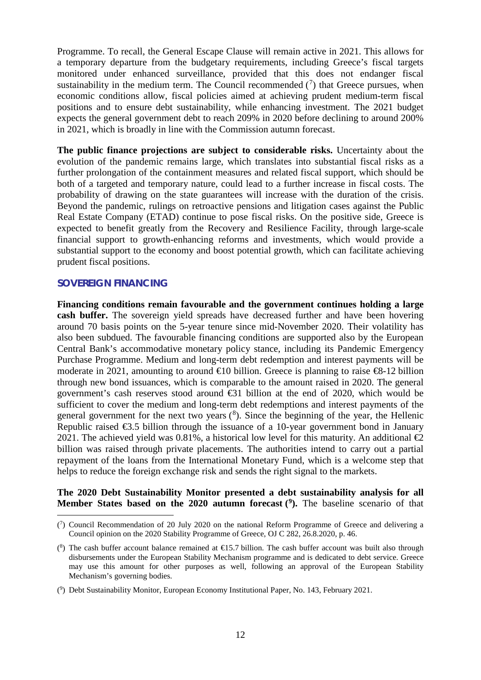Programme. To recall, the General Escape Clause will remain active in 2021. This allows for a temporary departure from the budgetary requirements, including Greece's fiscal targets monitored under enhanced surveillance, provided that this does not endanger fiscal sustainability in the medium term. The Council recommended  $(7)$  $(7)$  $(7)$  that Greece pursues, when economic conditions allow, fiscal policies aimed at achieving prudent medium-term fiscal positions and to ensure debt sustainability, while enhancing investment. The 2021 budget expects the general government debt to reach 209% in 2020 before declining to around 200% in 2021, which is broadly in line with the Commission autumn forecast.

**The public finance projections are subject to considerable risks.** Uncertainty about the evolution of the pandemic remains large, which translates into substantial fiscal risks as a further prolongation of the containment measures and related fiscal support, which should be both of a targeted and temporary nature, could lead to a further increase in fiscal costs. The probability of drawing on the state guarantees will increase with the duration of the crisis. Beyond the pandemic, rulings on retroactive pensions and litigation cases against the Public Real Estate Company (ETAD) continue to pose fiscal risks. On the positive side, Greece is expected to benefit greatly from the Recovery and Resilience Facility, through large-scale financial support to growth-enhancing reforms and investments, which would provide a substantial support to the economy and boost potential growth, which can facilitate achieving prudent fiscal positions.

## **SOVEREIGN FINANCING**

 $\overline{a}$ 

**Financing conditions remain favourable and the government continues holding a large cash buffer.** The sovereign yield spreads have decreased further and have been hovering around 70 basis points on the 5-year tenure since mid-November 2020. Their volatility has also been subdued. The favourable financing conditions are supported also by the European Central Bank's accommodative monetary policy stance, including its Pandemic Emergency Purchase Programme. Medium and long-term debt redemption and interest payments will be moderate in 2021, amounting to around  $\epsilon$ 10 billion. Greece is planning to raise  $\epsilon$ 8-12 billion through new bond issuances, which is comparable to the amount raised in 2020. The general government's cash reserves stood around €31 billion at the end of 2020, which would be sufficient to cover the medium and long-term debt redemptions and interest payments of the general government for the next two years  $(^8)$  $(^8)$  $(^8)$ . Since the beginning of the year, the Hellenic Republic raised  $\epsilon$ 3.5 billion through the issuance of a 10-year government bond in January 2021. The achieved yield was 0.81%, a historical low level for this maturity. An additional  $\bigoplus$ billion was raised through private placements. The authorities intend to carry out a partial repayment of the loans from the International Monetary Fund, which is a welcome step that helps to reduce the foreign exchange risk and sends the right signal to the markets.

## **The 2020 Debt Sustainability Monitor presented a debt sustainability analysis for all Member States based on the 2020 autumn forecast ([9\)](#page-15-2).** The baseline scenario of that

<span id="page-15-0"></span><sup>(</sup> 7 ) Council Recommendation of 20 July 2020 on the national Reform Programme of Greece and delivering a Council opinion on the 2020 Stability Programme of Greece, OJ C 282, 26.8.2020, p. 46.

<span id="page-15-1"></span><sup>(</sup> $8$ ) The cash buffer account balance remained at  $E$ 15.7 billion. The cash buffer account was built also through disbursements under the European Stability Mechanism programme and is dedicated to debt service. Greece may use this amount for other purposes as well, following an approval of the European Stability Mechanism's governing bodies.

<span id="page-15-2"></span><sup>(</sup> 9 ) Debt Sustainability Monitor, European Economy Institutional Paper, No. 143, February 2021.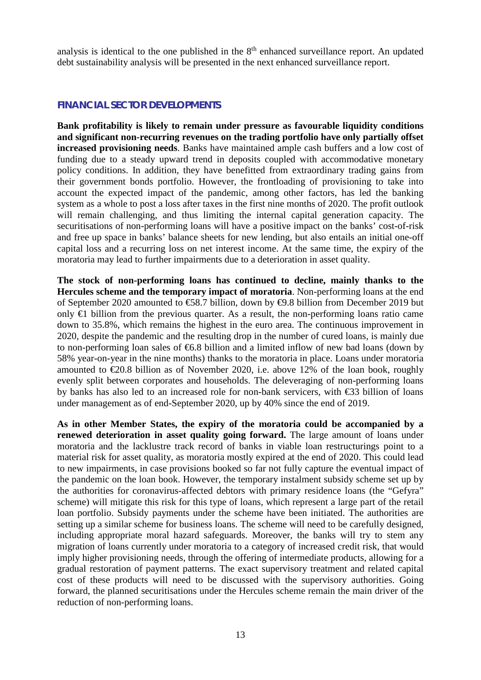analysis is identical to the one published in the  $8<sup>th</sup>$  enhanced surveillance report. An updated debt sustainability analysis will be presented in the next enhanced surveillance report.

## **FINANCIAL SECTOR DEVELOPMENTS**

**Bank profitability is likely to remain under pressure as favourable liquidity conditions and significant non-recurring revenues on the trading portfolio have only partially offset increased provisioning needs**. Banks have maintained ample cash buffers and a low cost of funding due to a steady upward trend in deposits coupled with accommodative monetary policy conditions. In addition, they have benefitted from extraordinary trading gains from their government bonds portfolio. However, the frontloading of provisioning to take into account the expected impact of the pandemic, among other factors, has led the banking system as a whole to post a loss after taxes in the first nine months of 2020. The profit outlook will remain challenging, and thus limiting the internal capital generation capacity. The securitisations of non-performing loans will have a positive impact on the banks' cost-of-risk and free up space in banks' balance sheets for new lending, but also entails an initial one-off capital loss and a recurring loss on net interest income. At the same time, the expiry of the moratoria may lead to further impairments due to a deterioration in asset quality.

**The stock of non-performing loans has continued to decline, mainly thanks to the Hercules scheme and the temporary impact of moratoria**. Non-performing loans at the end of September 2020 amounted to €58.7 billion, down by €9.8 billion from December 2019 but only  $\bigoplus$  billion from the previous quarter. As a result, the non-performing loans ratio came down to 35.8%, which remains the highest in the euro area. The continuous improvement in 2020, despite the pandemic and the resulting drop in the number of cured loans, is mainly due to non-performing loan sales of  $66.8$  billion and a limited inflow of new bad loans (down by 58% year-on-year in the nine months) thanks to the moratoria in place. Loans under moratoria amounted to  $\epsilon 20.8$  billion as of November 2020, i.e. above 12% of the loan book, roughly evenly split between corporates and households. The deleveraging of non-performing loans by banks has also led to an increased role for non-bank servicers, with €33 billion of loans under management as of end-September 2020, up by 40% since the end of 2019.

**As in other Member States, the expiry of the moratoria could be accompanied by a renewed deterioration in asset quality going forward.** The large amount of loans under moratoria and the lacklustre track record of banks in viable loan restructurings point to a material risk for asset quality, as moratoria mostly expired at the end of 2020. This could lead to new impairments, in case provisions booked so far not fully capture the eventual impact of the pandemic on the loan book. However, the temporary instalment subsidy scheme set up by the authorities for coronavirus-affected debtors with primary residence loans (the "Gefyra" scheme) will mitigate this risk for this type of loans, which represent a large part of the retail loan portfolio. Subsidy payments under the scheme have been initiated. The authorities are setting up a similar scheme for business loans. The scheme will need to be carefully designed, including appropriate moral hazard safeguards. Moreover, the banks will try to stem any migration of loans currently under moratoria to a category of increased credit risk, that would imply higher provisioning needs, through the offering of intermediate products, allowing for a gradual restoration of payment patterns. The exact supervisory treatment and related capital cost of these products will need to be discussed with the supervisory authorities. Going forward, the planned securitisations under the Hercules scheme remain the main driver of the reduction of non-performing loans.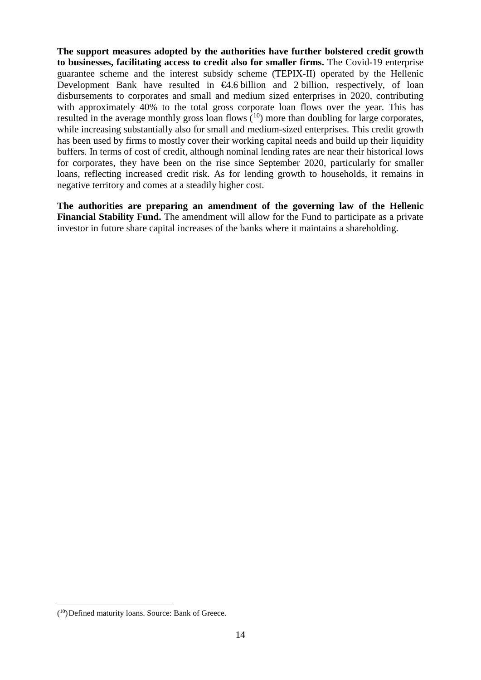**The support measures adopted by the authorities have further bolstered credit growth to businesses, facilitating access to credit also for smaller firms.** The Covid-19 enterprise guarantee scheme and the interest subsidy scheme (TEPIX-II) operated by the Hellenic Development Bank have resulted in  $\Theta$ .6 billion and 2 billion, respectively, of loan disbursements to corporates and small and medium sized enterprises in 2020, contributing with approximately 40% to the total gross corporate loan flows over the year. This has resulted in the average monthly gross loan flows  $(10)$  $(10)$  more than doubling for large corporates, while increasing substantially also for small and medium-sized enterprises. This credit growth has been used by firms to mostly cover their working capital needs and build up their liquidity buffers. In terms of cost of credit, although nominal lending rates are near their historical lows for corporates, they have been on the rise since September 2020, particularly for smaller loans, reflecting increased credit risk. As for lending growth to households, it remains in negative territory and comes at a steadily higher cost.

**The authorities are preparing an amendment of the governing law of the Hellenic Financial Stability Fund.** The amendment will allow for the Fund to participate as a private investor in future share capital increases of the banks where it maintains a shareholding.

<span id="page-17-0"></span> $\frac{1}{\sqrt{2}}$  $(10)$ Defined maturity loans. Source: Bank of Greece.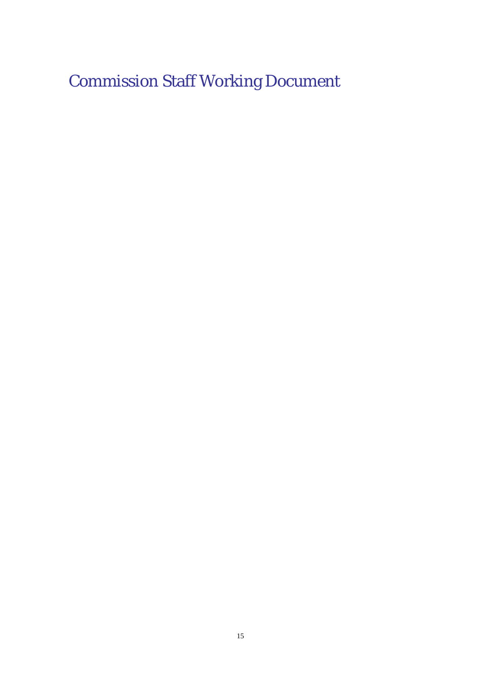Commission Staff Working Document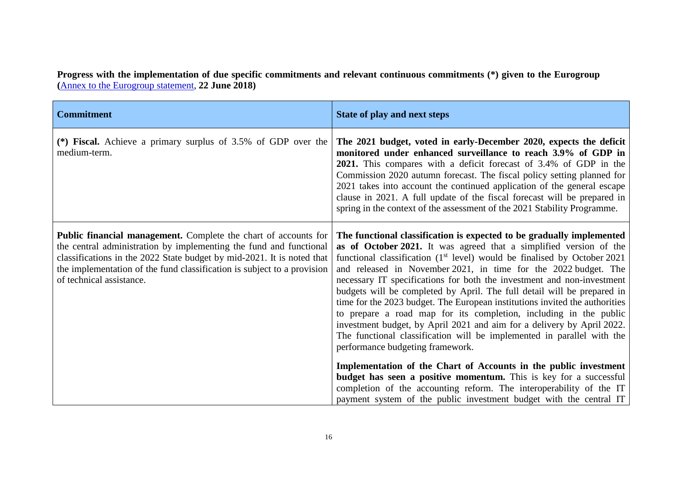**Progress with the implementation of due specific commitments and relevant continuous commitments (\*) given to the Eurogroup (**[Annex to the Eurogroup statement,](https://www.consilium.europa.eu/media/35749/z-councils-council-configurations-ecofin-eurogroup-2018-180621-specific-commitments-to-ensure-the-continuity-and-completion-of-reforms-adopted-under-the-esm-programme_2.pdf) **22 June 2018)** 

| <b>Commitment</b>                                                                                                                                                                                                                                                                                                             | State of play and next steps                                                                                                                                                                                                                                                                                                                                                                                                                                                                                                                                                                                                                                                                                                                                                                  |
|-------------------------------------------------------------------------------------------------------------------------------------------------------------------------------------------------------------------------------------------------------------------------------------------------------------------------------|-----------------------------------------------------------------------------------------------------------------------------------------------------------------------------------------------------------------------------------------------------------------------------------------------------------------------------------------------------------------------------------------------------------------------------------------------------------------------------------------------------------------------------------------------------------------------------------------------------------------------------------------------------------------------------------------------------------------------------------------------------------------------------------------------|
| (*) Fiscal. Achieve a primary surplus of $3.5\%$ of GDP over the<br>medium-term.                                                                                                                                                                                                                                              | The 2021 budget, voted in early-December 2020, expects the deficit<br>monitored under enhanced surveillance to reach 3.9% of GDP in<br>2021. This compares with a deficit forecast of 3.4% of GDP in the<br>Commission 2020 autumn forecast. The fiscal policy setting planned for<br>2021 takes into account the continued application of the general escape<br>clause in 2021. A full update of the fiscal forecast will be prepared in<br>spring in the context of the assessment of the 2021 Stability Programme.                                                                                                                                                                                                                                                                         |
| <b>Public financial management.</b> Complete the chart of accounts for<br>the central administration by implementing the fund and functional<br>classifications in the 2022 State budget by mid-2021. It is noted that<br>the implementation of the fund classification is subject to a provision<br>of technical assistance. | The functional classification is expected to be gradually implemented<br>as of October 2021. It was agreed that a simplified version of the<br>functional classification $(1st level)$ would be finalised by October 2021<br>and released in November 2021, in time for the 2022 budget. The<br>necessary IT specifications for both the investment and non-investment<br>budgets will be completed by April. The full detail will be prepared in<br>time for the 2023 budget. The European institutions invited the authorities<br>to prepare a road map for its completion, including in the public<br>investment budget, by April 2021 and aim for a delivery by April 2022.<br>The functional classification will be implemented in parallel with the<br>performance budgeting framework. |
|                                                                                                                                                                                                                                                                                                                               | Implementation of the Chart of Accounts in the public investment<br>budget has seen a positive momentum. This is key for a successful<br>completion of the accounting reform. The interoperability of the IT<br>payment system of the public investment budget with the central IT                                                                                                                                                                                                                                                                                                                                                                                                                                                                                                            |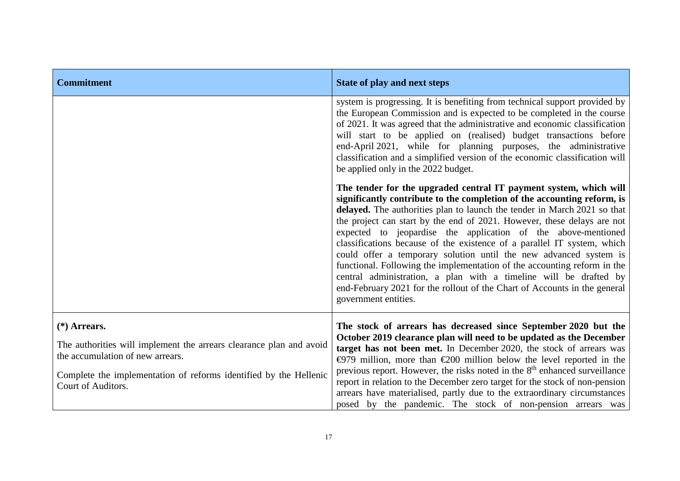| <b>Commitment</b>                                                                                                                                                                                                    | <b>State of play and next steps</b>                                                                                                                                                                                                                                                                                                                                                                                                                                                                                                                                                                                                                                                                                                                                        |
|----------------------------------------------------------------------------------------------------------------------------------------------------------------------------------------------------------------------|----------------------------------------------------------------------------------------------------------------------------------------------------------------------------------------------------------------------------------------------------------------------------------------------------------------------------------------------------------------------------------------------------------------------------------------------------------------------------------------------------------------------------------------------------------------------------------------------------------------------------------------------------------------------------------------------------------------------------------------------------------------------------|
|                                                                                                                                                                                                                      | system is progressing. It is benefiting from technical support provided by<br>the European Commission and is expected to be completed in the course<br>of 2021. It was agreed that the administrative and economic classification<br>will start to be applied on (realised) budget transactions before<br>end-April 2021, while for planning purposes, the administrative<br>classification and a simplified version of the economic classification will<br>be applied only in the 2022 budget.                                                                                                                                                                                                                                                                            |
|                                                                                                                                                                                                                      | The tender for the upgraded central IT payment system, which will<br>significantly contribute to the completion of the accounting reform, is<br>delayed. The authorities plan to launch the tender in March 2021 so that<br>the project can start by the end of 2021. However, these delays are not<br>expected to jeopardise the application of the above-mentioned<br>classifications because of the existence of a parallel IT system, which<br>could offer a temporary solution until the new advanced system is<br>functional. Following the implementation of the accounting reform in the<br>central administration, a plan with a timeline will be drafted by<br>end-February 2021 for the rollout of the Chart of Accounts in the general<br>government entities. |
| $(*)$ Arrears.<br>The authorities will implement the arrears clearance plan and avoid<br>the accumulation of new arrears.<br>Complete the implementation of reforms identified by the Hellenic<br>Court of Auditors. | The stock of arrears has decreased since September 2020 but the<br>October 2019 clearance plan will need to be updated as the December<br>target has not been met. In December 2020, the stock of arrears was<br>$\bigoplus$ 79 million, more than $\bigoplus$ 00 million below the level reported in the<br>previous report. However, the risks noted in the $8th$ enhanced surveillance<br>report in relation to the December zero target for the stock of non-pension<br>arrears have materialised, partly due to the extraordinary circumstances<br>posed by the pandemic. The stock of non-pension arrears was                                                                                                                                                        |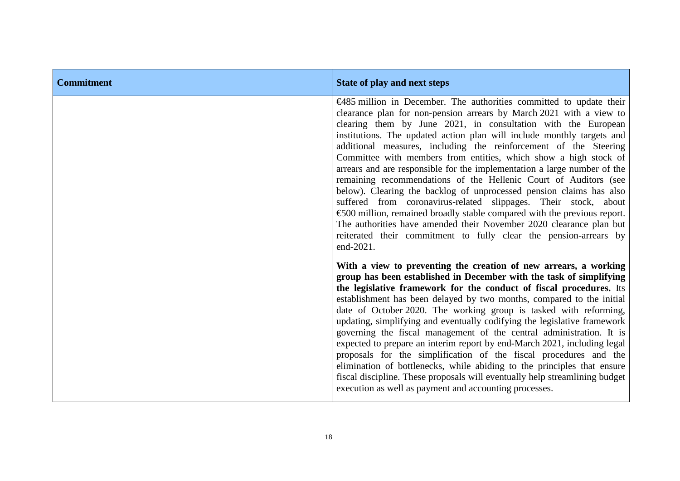| <b>Commitment</b> | <b>State of play and next steps</b>                                                                                                                                                                                                                                                                                                                                                                                                                                                                                                                                                                                                                                                                                                                                                                                                                                                                                                                                    |
|-------------------|------------------------------------------------------------------------------------------------------------------------------------------------------------------------------------------------------------------------------------------------------------------------------------------------------------------------------------------------------------------------------------------------------------------------------------------------------------------------------------------------------------------------------------------------------------------------------------------------------------------------------------------------------------------------------------------------------------------------------------------------------------------------------------------------------------------------------------------------------------------------------------------------------------------------------------------------------------------------|
|                   | $\epsilon$ 485 million in December. The authorities committed to update their<br>clearance plan for non-pension arrears by March 2021 with a view to<br>clearing them by June 2021, in consultation with the European<br>institutions. The updated action plan will include monthly targets and<br>additional measures, including the reinforcement of the Steering<br>Committee with members from entities, which show a high stock of<br>arrears and are responsible for the implementation a large number of the<br>remaining recommendations of the Hellenic Court of Auditors (see<br>below). Clearing the backlog of unprocessed pension claims has also<br>suffered from coronavirus-related slippages. Their stock, about<br>€500 million, remained broadly stable compared with the previous report.<br>The authorities have amended their November 2020 clearance plan but<br>reiterated their commitment to fully clear the pension-arrears by<br>end-2021. |
|                   | With a view to preventing the creation of new arrears, a working<br>group has been established in December with the task of simplifying<br>the legislative framework for the conduct of fiscal procedures. Its<br>establishment has been delayed by two months, compared to the initial<br>date of October 2020. The working group is tasked with reforming,<br>updating, simplifying and eventually codifying the legislative framework<br>governing the fiscal management of the central administration. It is<br>expected to prepare an interim report by end-March 2021, including legal<br>proposals for the simplification of the fiscal procedures and the<br>elimination of bottlenecks, while abiding to the principles that ensure<br>fiscal discipline. These proposals will eventually help streamlining budget<br>execution as well as payment and accounting processes.                                                                                  |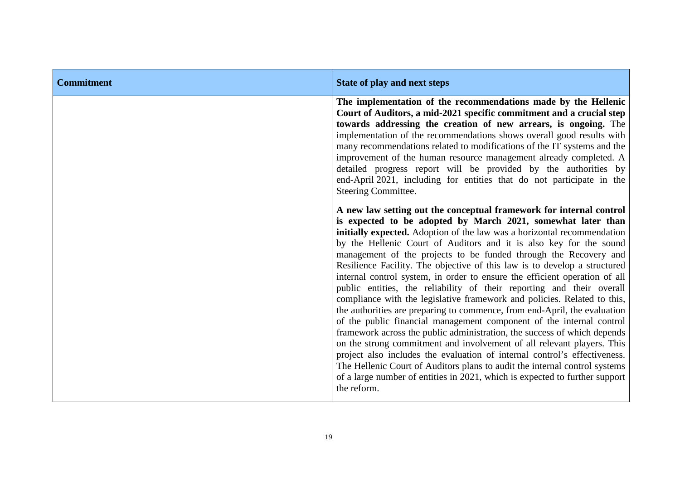| <b>Commitment</b> | <b>State of play and next steps</b>                                                                                                                                                                                                                                                                                                                                                                                                                                                                                                                                                                                                                                                                                                                                                                                                                                                                                                                                                                                                                                                                                                                                                                                                          |
|-------------------|----------------------------------------------------------------------------------------------------------------------------------------------------------------------------------------------------------------------------------------------------------------------------------------------------------------------------------------------------------------------------------------------------------------------------------------------------------------------------------------------------------------------------------------------------------------------------------------------------------------------------------------------------------------------------------------------------------------------------------------------------------------------------------------------------------------------------------------------------------------------------------------------------------------------------------------------------------------------------------------------------------------------------------------------------------------------------------------------------------------------------------------------------------------------------------------------------------------------------------------------|
|                   | The implementation of the recommendations made by the Hellenic<br>Court of Auditors, a mid-2021 specific commitment and a crucial step<br>towards addressing the creation of new arrears, is ongoing. The<br>implementation of the recommendations shows overall good results with<br>many recommendations related to modifications of the IT systems and the<br>improvement of the human resource management already completed. A<br>detailed progress report will be provided by the authorities by<br>end-April 2021, including for entities that do not participate in the<br>Steering Committee.                                                                                                                                                                                                                                                                                                                                                                                                                                                                                                                                                                                                                                        |
|                   | A new law setting out the conceptual framework for internal control<br>is expected to be adopted by March 2021, somewhat later than<br>initially expected. Adoption of the law was a horizontal recommendation<br>by the Hellenic Court of Auditors and it is also key for the sound<br>management of the projects to be funded through the Recovery and<br>Resilience Facility. The objective of this law is to develop a structured<br>internal control system, in order to ensure the efficient operation of all<br>public entities, the reliability of their reporting and their overall<br>compliance with the legislative framework and policies. Related to this,<br>the authorities are preparing to commence, from end-April, the evaluation<br>of the public financial management component of the internal control<br>framework across the public administration, the success of which depends<br>on the strong commitment and involvement of all relevant players. This<br>project also includes the evaluation of internal control's effectiveness.<br>The Hellenic Court of Auditors plans to audit the internal control systems<br>of a large number of entities in 2021, which is expected to further support<br>the reform. |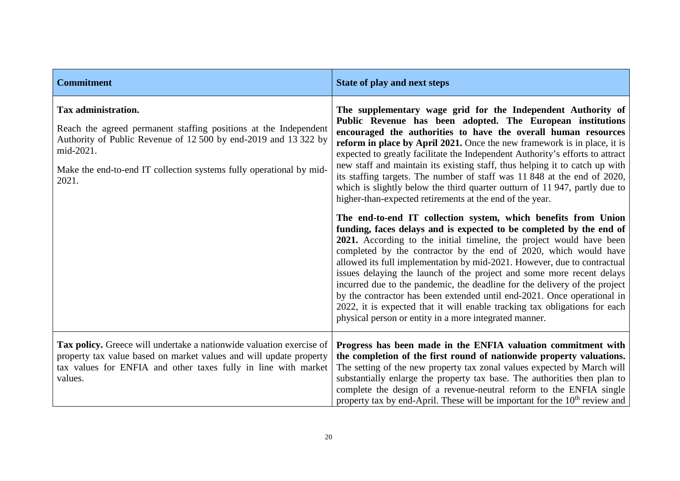| <b>Commitment</b>                                                                                                                                                                                                                                       | State of play and next steps                                                                                                                                                                                                                                                                                                                                                                                                                                                                                                                                                                                                                                                                                                            |
|---------------------------------------------------------------------------------------------------------------------------------------------------------------------------------------------------------------------------------------------------------|-----------------------------------------------------------------------------------------------------------------------------------------------------------------------------------------------------------------------------------------------------------------------------------------------------------------------------------------------------------------------------------------------------------------------------------------------------------------------------------------------------------------------------------------------------------------------------------------------------------------------------------------------------------------------------------------------------------------------------------------|
| Tax administration.<br>Reach the agreed permanent staffing positions at the Independent<br>Authority of Public Revenue of 12 500 by end-2019 and 13 322 by<br>mid-2021.<br>Make the end-to-end IT collection systems fully operational by mid-<br>2021. | The supplementary wage grid for the Independent Authority of<br>Public Revenue has been adopted. The European institutions<br>encouraged the authorities to have the overall human resources<br>reform in place by April 2021. Once the new framework is in place, it is<br>expected to greatly facilitate the Independent Authority's efforts to attract<br>new staff and maintain its existing staff, thus helping it to catch up with<br>its staffing targets. The number of staff was 11 848 at the end of 2020,<br>which is slightly below the third quarter outturn of 11947, partly due to<br>higher-than-expected retirements at the end of the year.                                                                           |
|                                                                                                                                                                                                                                                         | The end-to-end IT collection system, which benefits from Union<br>funding, faces delays and is expected to be completed by the end of<br>2021. According to the initial timeline, the project would have been<br>completed by the contractor by the end of 2020, which would have<br>allowed its full implementation by mid-2021. However, due to contractual<br>issues delaying the launch of the project and some more recent delays<br>incurred due to the pandemic, the deadline for the delivery of the project<br>by the contractor has been extended until end-2021. Once operational in<br>2022, it is expected that it will enable tracking tax obligations for each<br>physical person or entity in a more integrated manner. |
| Tax policy. Greece will undertake a nationwide valuation exercise of<br>property tax value based on market values and will update property<br>tax values for ENFIA and other taxes fully in line with market<br>values.                                 | Progress has been made in the ENFIA valuation commitment with<br>the completion of the first round of nationwide property valuations.<br>The setting of the new property tax zonal values expected by March will<br>substantially enlarge the property tax base. The authorities then plan to<br>complete the design of a revenue-neutral reform to the ENFIA single<br>property tax by end-April. These will be important for the 10 <sup>th</sup> review and                                                                                                                                                                                                                                                                          |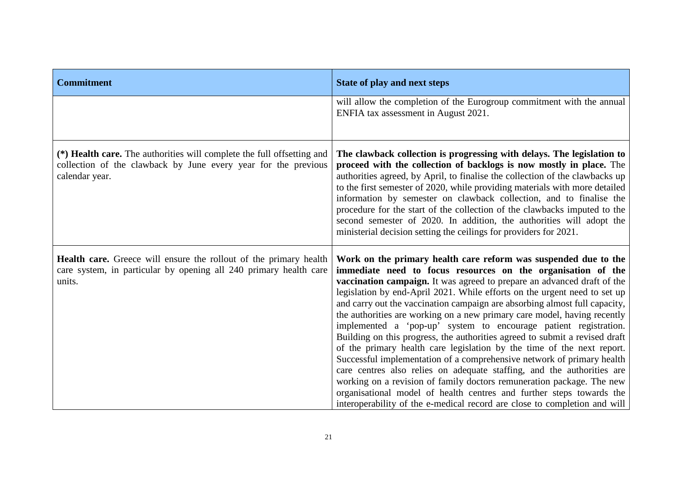| <b>Commitment</b>                                                                                                                                          | <b>State of play and next steps</b>                                                                                                                                                                                                                                                                                                                                                                                                                                                                                                                                                                                                                                                                                                                                                                                                                                                                                                                                                                                                                              |
|------------------------------------------------------------------------------------------------------------------------------------------------------------|------------------------------------------------------------------------------------------------------------------------------------------------------------------------------------------------------------------------------------------------------------------------------------------------------------------------------------------------------------------------------------------------------------------------------------------------------------------------------------------------------------------------------------------------------------------------------------------------------------------------------------------------------------------------------------------------------------------------------------------------------------------------------------------------------------------------------------------------------------------------------------------------------------------------------------------------------------------------------------------------------------------------------------------------------------------|
|                                                                                                                                                            | will allow the completion of the Eurogroup commitment with the annual<br>ENFIA tax assessment in August 2021.                                                                                                                                                                                                                                                                                                                                                                                                                                                                                                                                                                                                                                                                                                                                                                                                                                                                                                                                                    |
| (*) Health care. The authorities will complete the full offsetting and<br>collection of the clawback by June every year for the previous<br>calendar year. | The clawback collection is progressing with delays. The legislation to<br>proceed with the collection of backlogs is now mostly in place. The<br>authorities agreed, by April, to finalise the collection of the clawbacks up<br>to the first semester of 2020, while providing materials with more detailed<br>information by semester on clawback collection, and to finalise the<br>procedure for the start of the collection of the clawbacks imputed to the<br>second semester of 2020. In addition, the authorities will adopt the<br>ministerial decision setting the ceilings for providers for 2021.                                                                                                                                                                                                                                                                                                                                                                                                                                                    |
| <b>Health care.</b> Greece will ensure the rollout of the primary health<br>care system, in particular by opening all 240 primary health care<br>units.    | Work on the primary health care reform was suspended due to the<br>immediate need to focus resources on the organisation of the<br>vaccination campaign. It was agreed to prepare an advanced draft of the<br>legislation by end-April 2021. While efforts on the urgent need to set up<br>and carry out the vaccination campaign are absorbing almost full capacity,<br>the authorities are working on a new primary care model, having recently<br>implemented a 'pop-up' system to encourage patient registration.<br>Building on this progress, the authorities agreed to submit a revised draft<br>of the primary health care legislation by the time of the next report.<br>Successful implementation of a comprehensive network of primary health<br>care centres also relies on adequate staffing, and the authorities are<br>working on a revision of family doctors remuneration package. The new<br>organisational model of health centres and further steps towards the<br>interoperability of the e-medical record are close to completion and will |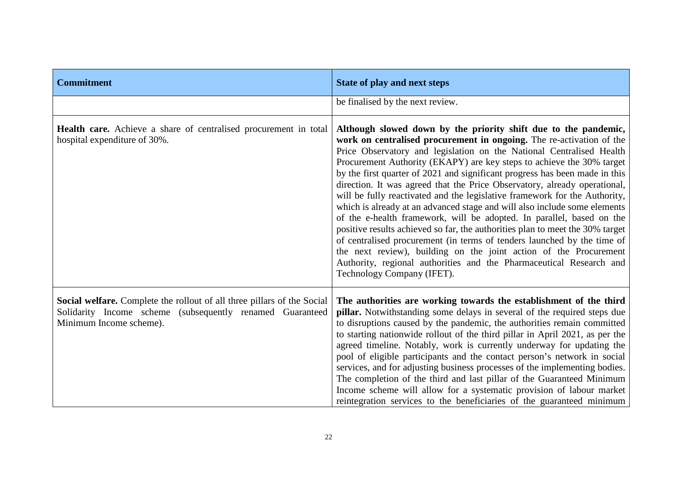| <b>Commitment</b>                                                                                                                                               | <b>State of play and next steps</b>                                                                                                                                                                                                                                                                                                                                                                                                                                                                                                                                                                                                                                                                                                                                                                                                                                                                                                                                                                                            |
|-----------------------------------------------------------------------------------------------------------------------------------------------------------------|--------------------------------------------------------------------------------------------------------------------------------------------------------------------------------------------------------------------------------------------------------------------------------------------------------------------------------------------------------------------------------------------------------------------------------------------------------------------------------------------------------------------------------------------------------------------------------------------------------------------------------------------------------------------------------------------------------------------------------------------------------------------------------------------------------------------------------------------------------------------------------------------------------------------------------------------------------------------------------------------------------------------------------|
|                                                                                                                                                                 | be finalised by the next review.                                                                                                                                                                                                                                                                                                                                                                                                                                                                                                                                                                                                                                                                                                                                                                                                                                                                                                                                                                                               |
| Health care. Achieve a share of centralised procurement in total<br>hospital expenditure of 30%.                                                                | Although slowed down by the priority shift due to the pandemic,<br>work on centralised procurement in ongoing. The re-activation of the<br>Price Observatory and legislation on the National Centralised Health<br>Procurement Authority (EKAPY) are key steps to achieve the 30% target<br>by the first quarter of 2021 and significant progress has been made in this<br>direction. It was agreed that the Price Observatory, already operational,<br>will be fully reactivated and the legislative framework for the Authority,<br>which is already at an advanced stage and will also include some elements<br>of the e-health framework, will be adopted. In parallel, based on the<br>positive results achieved so far, the authorities plan to meet the 30% target<br>of centralised procurement (in terms of tenders launched by the time of<br>the next review), building on the joint action of the Procurement<br>Authority, regional authorities and the Pharmaceutical Research and<br>Technology Company (IFET). |
| Social welfare. Complete the rollout of all three pillars of the Social<br>Solidarity Income scheme (subsequently renamed Guaranteed<br>Minimum Income scheme). | The authorities are working towards the establishment of the third<br>pillar. Notwithstanding some delays in several of the required steps due<br>to disruptions caused by the pandemic, the authorities remain committed<br>to starting nationwide rollout of the third pillar in April 2021, as per the<br>agreed timeline. Notably, work is currently underway for updating the<br>pool of eligible participants and the contact person's network in social<br>services, and for adjusting business processes of the implementing bodies.<br>The completion of the third and last pillar of the Guaranteed Minimum<br>Income scheme will allow for a systematic provision of labour market<br>reintegration services to the beneficiaries of the guaranteed minimum                                                                                                                                                                                                                                                         |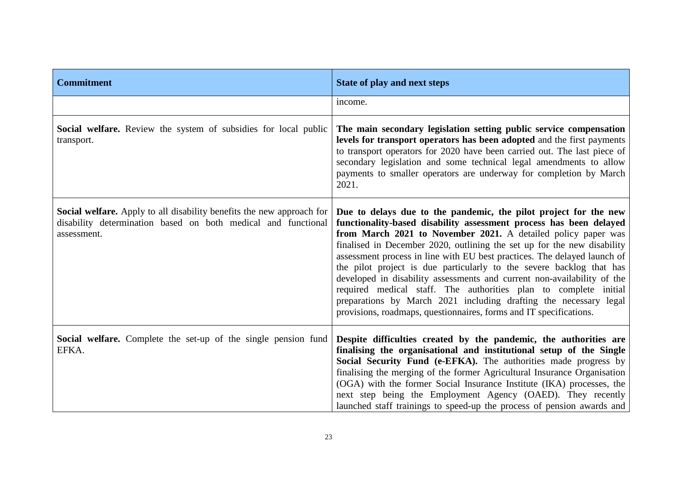| <b>Commitment</b>                                                                                                                                     | State of play and next steps                                                                                                                                                                                                                                                                                                                                                                                                                                                                                                                                                                                                                                                                                                     |
|-------------------------------------------------------------------------------------------------------------------------------------------------------|----------------------------------------------------------------------------------------------------------------------------------------------------------------------------------------------------------------------------------------------------------------------------------------------------------------------------------------------------------------------------------------------------------------------------------------------------------------------------------------------------------------------------------------------------------------------------------------------------------------------------------------------------------------------------------------------------------------------------------|
|                                                                                                                                                       | income.                                                                                                                                                                                                                                                                                                                                                                                                                                                                                                                                                                                                                                                                                                                          |
| Social welfare. Review the system of subsidies for local public<br>transport.                                                                         | The main secondary legislation setting public service compensation<br>levels for transport operators has been adopted and the first payments<br>to transport operators for 2020 have been carried out. The last piece of<br>secondary legislation and some technical legal amendments to allow<br>payments to smaller operators are underway for completion by March<br>2021.                                                                                                                                                                                                                                                                                                                                                    |
| Social welfare. Apply to all disability benefits the new approach for<br>disability determination based on both medical and functional<br>assessment. | Due to delays due to the pandemic, the pilot project for the new<br>functionality-based disability assessment process has been delayed<br>from March 2021 to November 2021. A detailed policy paper was<br>finalised in December 2020, outlining the set up for the new disability<br>assessment process in line with EU best practices. The delayed launch of<br>the pilot project is due particularly to the severe backlog that has<br>developed in disability assessments and current non-availability of the<br>required medical staff. The authorities plan to complete initial<br>preparations by March 2021 including drafting the necessary legal<br>provisions, roadmaps, questionnaires, forms and IT specifications. |
| Social welfare. Complete the set-up of the single pension fund<br>EFKA.                                                                               | Despite difficulties created by the pandemic, the authorities are<br>finalising the organisational and institutional setup of the Single<br>Social Security Fund (e-EFKA). The authorities made progress by<br>finalising the merging of the former Agricultural Insurance Organisation<br>(OGA) with the former Social Insurance Institute (IKA) processes, the<br>next step being the Employment Agency (OAED). They recently<br>launched staff trainings to speed-up the process of pension awards and                                                                                                                                                                                                                        |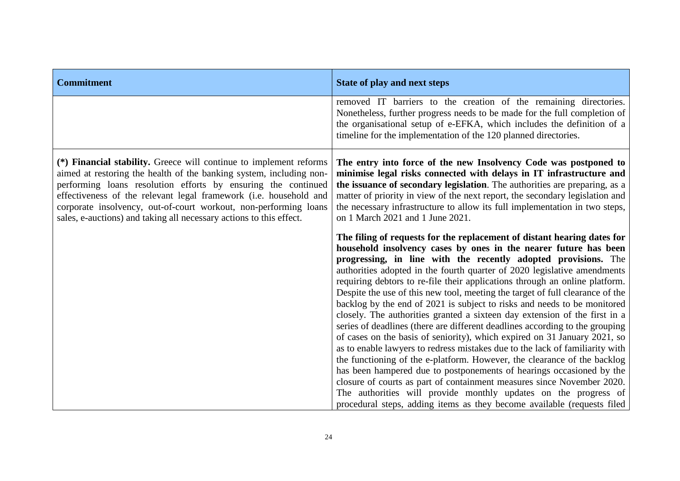| <b>Commitment</b>                                                                                                                                                                                                                                                                                                                                                                                                          | <b>State of play and next steps</b>                                                                                                                                                                                                                                                                                                                                                                                                                                                                                                                                                                                                                                                                                                                                                                                                                                                                                                                                                                                                                                                                                                                                                                                                          |
|----------------------------------------------------------------------------------------------------------------------------------------------------------------------------------------------------------------------------------------------------------------------------------------------------------------------------------------------------------------------------------------------------------------------------|----------------------------------------------------------------------------------------------------------------------------------------------------------------------------------------------------------------------------------------------------------------------------------------------------------------------------------------------------------------------------------------------------------------------------------------------------------------------------------------------------------------------------------------------------------------------------------------------------------------------------------------------------------------------------------------------------------------------------------------------------------------------------------------------------------------------------------------------------------------------------------------------------------------------------------------------------------------------------------------------------------------------------------------------------------------------------------------------------------------------------------------------------------------------------------------------------------------------------------------------|
|                                                                                                                                                                                                                                                                                                                                                                                                                            | removed IT barriers to the creation of the remaining directories.<br>Nonetheless, further progress needs to be made for the full completion of<br>the organisational setup of e-EFKA, which includes the definition of a<br>timeline for the implementation of the 120 planned directories.                                                                                                                                                                                                                                                                                                                                                                                                                                                                                                                                                                                                                                                                                                                                                                                                                                                                                                                                                  |
| (*) Financial stability. Greece will continue to implement reforms<br>aimed at restoring the health of the banking system, including non-<br>performing loans resolution efforts by ensuring the continued<br>effectiveness of the relevant legal framework (i.e. household and<br>corporate insolvency, out-of-court workout, non-performing loans<br>sales, e-auctions) and taking all necessary actions to this effect. | The entry into force of the new Insolvency Code was postponed to<br>minimise legal risks connected with delays in IT infrastructure and<br>the issuance of secondary legislation. The authorities are preparing, as a<br>matter of priority in view of the next report, the secondary legislation and<br>the necessary infrastructure to allow its full implementation in two steps,<br>on 1 March 2021 and 1 June 2021.                                                                                                                                                                                                                                                                                                                                                                                                                                                                                                                                                                                                                                                                                                                                                                                                                     |
|                                                                                                                                                                                                                                                                                                                                                                                                                            | The filing of requests for the replacement of distant hearing dates for<br>household insolvency cases by ones in the nearer future has been<br>progressing, in line with the recently adopted provisions. The<br>authorities adopted in the fourth quarter of 2020 legislative amendments<br>requiring debtors to re-file their applications through an online platform.<br>Despite the use of this new tool, meeting the target of full clearance of the<br>backlog by the end of 2021 is subject to risks and needs to be monitored<br>closely. The authorities granted a sixteen day extension of the first in a<br>series of deadlines (there are different deadlines according to the grouping<br>of cases on the basis of seniority), which expired on 31 January 2021, so<br>as to enable lawyers to redress mistakes due to the lack of familiarity with<br>the functioning of the e-platform. However, the clearance of the backlog<br>has been hampered due to postponements of hearings occasioned by the<br>closure of courts as part of containment measures since November 2020.<br>The authorities will provide monthly updates on the progress of<br>procedural steps, adding items as they become available (requests filed |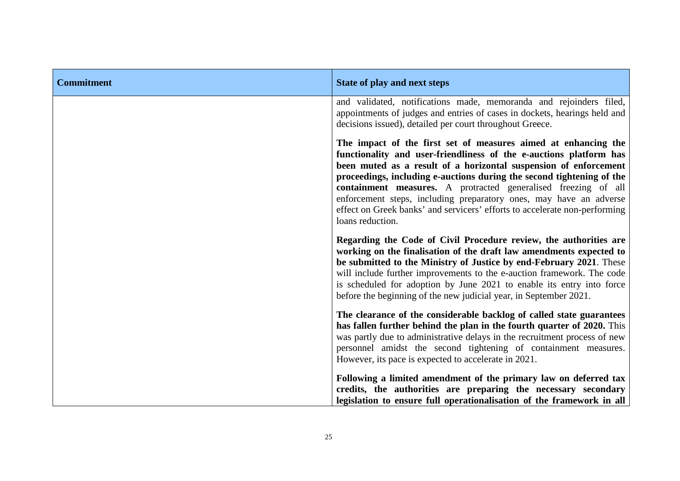| <b>Commitment</b> | <b>State of play and next steps</b>                                                                                                                                                                                                                                                                                                                                                                                                                                                                                         |
|-------------------|-----------------------------------------------------------------------------------------------------------------------------------------------------------------------------------------------------------------------------------------------------------------------------------------------------------------------------------------------------------------------------------------------------------------------------------------------------------------------------------------------------------------------------|
|                   | and validated, notifications made, memoranda and rejoinders filed,<br>appointments of judges and entries of cases in dockets, hearings held and<br>decisions issued), detailed per court throughout Greece.                                                                                                                                                                                                                                                                                                                 |
|                   | The impact of the first set of measures aimed at enhancing the<br>functionality and user-friendliness of the e-auctions platform has<br>been muted as a result of a horizontal suspension of enforcement<br>proceedings, including e-auctions during the second tightening of the<br>containment measures. A protracted generalised freezing of all<br>enforcement steps, including preparatory ones, may have an adverse<br>effect on Greek banks' and servicers' efforts to accelerate non-performing<br>loans reduction. |
|                   | Regarding the Code of Civil Procedure review, the authorities are<br>working on the finalisation of the draft law amendments expected to<br>be submitted to the Ministry of Justice by end-February 2021. These<br>will include further improvements to the e-auction framework. The code<br>is scheduled for adoption by June 2021 to enable its entry into force<br>before the beginning of the new judicial year, in September 2021.                                                                                     |
|                   | The clearance of the considerable backlog of called state guarantees<br>has fallen further behind the plan in the fourth quarter of 2020. This<br>was partly due to administrative delays in the recruitment process of new<br>personnel amidst the second tightening of containment measures.<br>However, its pace is expected to accelerate in 2021.                                                                                                                                                                      |
|                   | Following a limited amendment of the primary law on deferred tax<br>credits, the authorities are preparing the necessary secondary<br>legislation to ensure full operationalisation of the framework in all                                                                                                                                                                                                                                                                                                                 |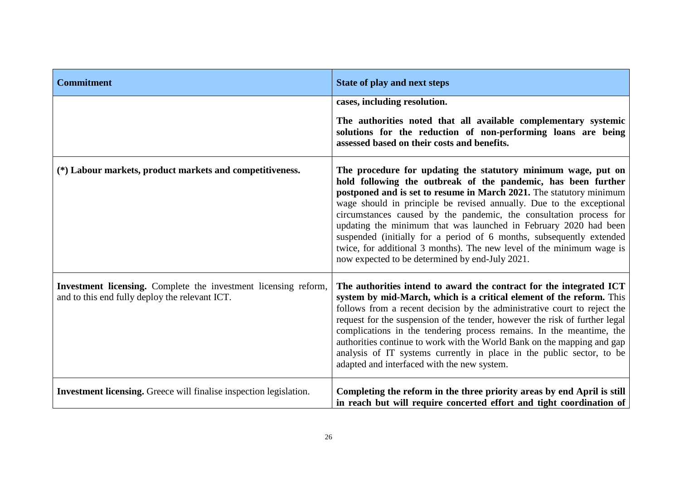| <b>Commitment</b>                                                                                                 | State of play and next steps                                                                                                                                                                                                                                                                                                                                                                                                                                                                                                                                                                                                |
|-------------------------------------------------------------------------------------------------------------------|-----------------------------------------------------------------------------------------------------------------------------------------------------------------------------------------------------------------------------------------------------------------------------------------------------------------------------------------------------------------------------------------------------------------------------------------------------------------------------------------------------------------------------------------------------------------------------------------------------------------------------|
|                                                                                                                   | cases, including resolution.<br>The authorities noted that all available complementary systemic<br>solutions for the reduction of non-performing loans are being<br>assessed based on their costs and benefits.                                                                                                                                                                                                                                                                                                                                                                                                             |
| (*) Labour markets, product markets and competitiveness.                                                          | The procedure for updating the statutory minimum wage, put on<br>hold following the outbreak of the pandemic, has been further<br>postponed and is set to resume in March 2021. The statutory minimum<br>wage should in principle be revised annually. Due to the exceptional<br>circumstances caused by the pandemic, the consultation process for<br>updating the minimum that was launched in February 2020 had been<br>suspended (initially for a period of 6 months, subsequently extended<br>twice, for additional 3 months). The new level of the minimum wage is<br>now expected to be determined by end-July 2021. |
| Investment licensing. Complete the investment licensing reform,<br>and to this end fully deploy the relevant ICT. | The authorities intend to award the contract for the integrated ICT<br>system by mid-March, which is a critical element of the reform. This<br>follows from a recent decision by the administrative court to reject the<br>request for the suspension of the tender, however the risk of further legal<br>complications in the tendering process remains. In the meantime, the<br>authorities continue to work with the World Bank on the mapping and gap<br>analysis of IT systems currently in place in the public sector, to be<br>adapted and interfaced with the new system.                                           |
| Investment licensing. Greece will finalise inspection legislation.                                                | Completing the reform in the three priority areas by end April is still<br>in reach but will require concerted effort and tight coordination of                                                                                                                                                                                                                                                                                                                                                                                                                                                                             |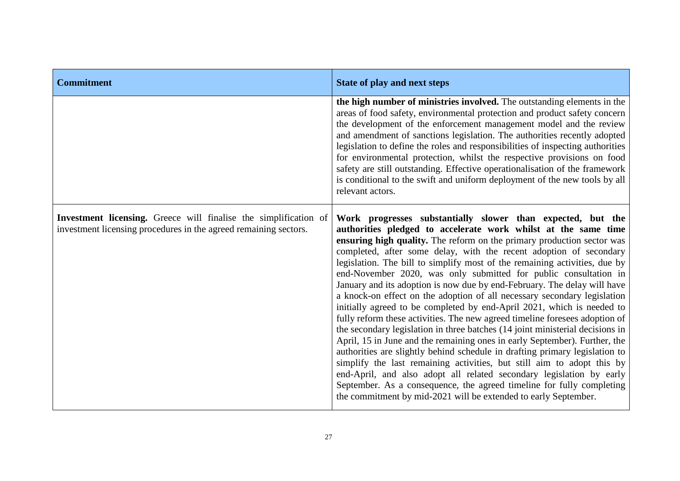| <b>Commitment</b>                                                                                                                    | State of play and next steps                                                                                                                                                                                                                                                                                                                                                                                                                                                                                                                                                                                                                                                                                                                                                                                                                                                                                                                                                                                                                                                                                                                                                                                                                                                                 |
|--------------------------------------------------------------------------------------------------------------------------------------|----------------------------------------------------------------------------------------------------------------------------------------------------------------------------------------------------------------------------------------------------------------------------------------------------------------------------------------------------------------------------------------------------------------------------------------------------------------------------------------------------------------------------------------------------------------------------------------------------------------------------------------------------------------------------------------------------------------------------------------------------------------------------------------------------------------------------------------------------------------------------------------------------------------------------------------------------------------------------------------------------------------------------------------------------------------------------------------------------------------------------------------------------------------------------------------------------------------------------------------------------------------------------------------------|
|                                                                                                                                      | the high number of ministries involved. The outstanding elements in the<br>areas of food safety, environmental protection and product safety concern<br>the development of the enforcement management model and the review<br>and amendment of sanctions legislation. The authorities recently adopted<br>legislation to define the roles and responsibilities of inspecting authorities<br>for environmental protection, whilst the respective provisions on food<br>safety are still outstanding. Effective operationalisation of the framework<br>is conditional to the swift and uniform deployment of the new tools by all<br>relevant actors.                                                                                                                                                                                                                                                                                                                                                                                                                                                                                                                                                                                                                                          |
| Investment licensing. Greece will finalise the simplification of<br>investment licensing procedures in the agreed remaining sectors. | Work progresses substantially slower than expected, but the<br>authorities pledged to accelerate work whilst at the same time<br>ensuring high quality. The reform on the primary production sector was<br>completed, after some delay, with the recent adoption of secondary<br>legislation. The bill to simplify most of the remaining activities, due by<br>end-November 2020, was only submitted for public consultation in<br>January and its adoption is now due by end-February. The delay will have<br>a knock-on effect on the adoption of all necessary secondary legislation<br>initially agreed to be completed by end-April 2021, which is needed to<br>fully reform these activities. The new agreed timeline foresees adoption of<br>the secondary legislation in three batches (14 joint ministerial decisions in<br>April, 15 in June and the remaining ones in early September). Further, the<br>authorities are slightly behind schedule in drafting primary legislation to<br>simplify the last remaining activities, but still aim to adopt this by<br>end-April, and also adopt all related secondary legislation by early<br>September. As a consequence, the agreed timeline for fully completing<br>the commitment by mid-2021 will be extended to early September. |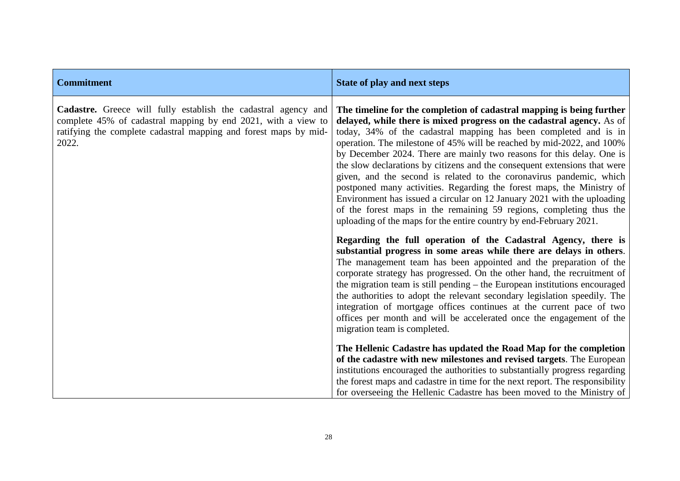| <b>Commitment</b>                                                                                                                                                                                            | State of play and next steps                                                                                                                                                                                                                                                                                                                                                                                                                                                                                                                                                                                                                                                                                                                                                                                              |
|--------------------------------------------------------------------------------------------------------------------------------------------------------------------------------------------------------------|---------------------------------------------------------------------------------------------------------------------------------------------------------------------------------------------------------------------------------------------------------------------------------------------------------------------------------------------------------------------------------------------------------------------------------------------------------------------------------------------------------------------------------------------------------------------------------------------------------------------------------------------------------------------------------------------------------------------------------------------------------------------------------------------------------------------------|
| Cadastre. Greece will fully establish the cadastral agency and<br>complete 45% of cadastral mapping by end 2021, with a view to<br>ratifying the complete cadastral mapping and forest maps by mid-<br>2022. | The timeline for the completion of cadastral mapping is being further<br>delayed, while there is mixed progress on the cadastral agency. As of<br>today, 34% of the cadastral mapping has been completed and is in<br>operation. The milestone of 45% will be reached by mid-2022, and 100%<br>by December 2024. There are mainly two reasons for this delay. One is<br>the slow declarations by citizens and the consequent extensions that were<br>given, and the second is related to the coronavirus pandemic, which<br>postponed many activities. Regarding the forest maps, the Ministry of<br>Environment has issued a circular on 12 January 2021 with the uploading<br>of the forest maps in the remaining 59 regions, completing thus the<br>uploading of the maps for the entire country by end-February 2021. |
|                                                                                                                                                                                                              | Regarding the full operation of the Cadastral Agency, there is<br>substantial progress in some areas while there are delays in others.<br>The management team has been appointed and the preparation of the<br>corporate strategy has progressed. On the other hand, the recruitment of<br>the migration team is still pending $-$ the European institutions encouraged<br>the authorities to adopt the relevant secondary legislation speedily. The<br>integration of mortgage offices continues at the current pace of two<br>offices per month and will be accelerated once the engagement of the<br>migration team is completed.                                                                                                                                                                                      |
|                                                                                                                                                                                                              | The Hellenic Cadastre has updated the Road Map for the completion<br>of the cadastre with new milestones and revised targets. The European<br>institutions encouraged the authorities to substantially progress regarding<br>the forest maps and cadastre in time for the next report. The responsibility<br>for overseeing the Hellenic Cadastre has been moved to the Ministry of                                                                                                                                                                                                                                                                                                                                                                                                                                       |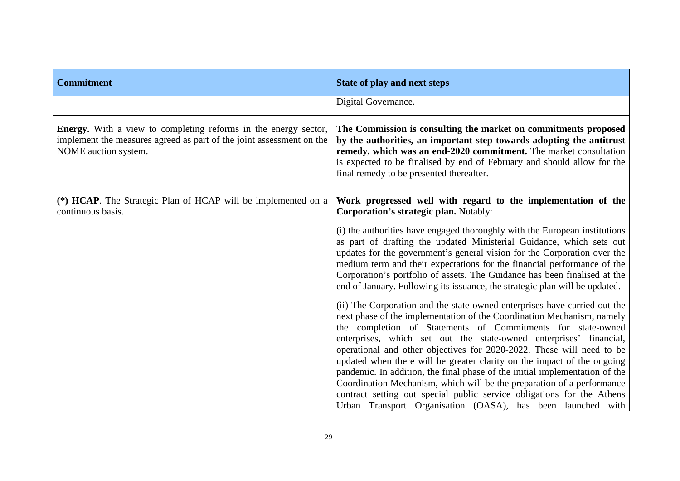| <b>Commitment</b>                                                                                                                                                      | <b>State of play and next steps</b>                                                                                                                                                                                                                                                                                                                                                                                                                                                                                                                                                                                                                                                                                                            |
|------------------------------------------------------------------------------------------------------------------------------------------------------------------------|------------------------------------------------------------------------------------------------------------------------------------------------------------------------------------------------------------------------------------------------------------------------------------------------------------------------------------------------------------------------------------------------------------------------------------------------------------------------------------------------------------------------------------------------------------------------------------------------------------------------------------------------------------------------------------------------------------------------------------------------|
|                                                                                                                                                                        | Digital Governance.                                                                                                                                                                                                                                                                                                                                                                                                                                                                                                                                                                                                                                                                                                                            |
| <b>Energy.</b> With a view to completing reforms in the energy sector,<br>implement the measures agreed as part of the joint assessment on the<br>NOME auction system. | The Commission is consulting the market on commitments proposed<br>by the authorities, an important step towards adopting the antitrust<br>remedy, which was an end-2020 commitment. The market consultation<br>is expected to be finalised by end of February and should allow for the<br>final remedy to be presented thereafter.                                                                                                                                                                                                                                                                                                                                                                                                            |
| (*) <b>HCAP</b> . The Strategic Plan of HCAP will be implemented on a<br>continuous basis.                                                                             | Work progressed well with regard to the implementation of the<br><b>Corporation's strategic plan.</b> Notably:                                                                                                                                                                                                                                                                                                                                                                                                                                                                                                                                                                                                                                 |
|                                                                                                                                                                        | (i) the authorities have engaged thoroughly with the European institutions<br>as part of drafting the updated Ministerial Guidance, which sets out<br>updates for the government's general vision for the Corporation over the<br>medium term and their expectations for the financial performance of the<br>Corporation's portfolio of assets. The Guidance has been finalised at the<br>end of January. Following its issuance, the strategic plan will be updated.                                                                                                                                                                                                                                                                          |
|                                                                                                                                                                        | (ii) The Corporation and the state-owned enterprises have carried out the<br>next phase of the implementation of the Coordination Mechanism, namely<br>the completion of Statements of Commitments for state-owned<br>enterprises, which set out the state-owned enterprises' financial,<br>operational and other objectives for 2020-2022. These will need to be<br>updated when there will be greater clarity on the impact of the ongoing<br>pandemic. In addition, the final phase of the initial implementation of the<br>Coordination Mechanism, which will be the preparation of a performance<br>contract setting out special public service obligations for the Athens<br>Urban Transport Organisation (OASA), has been launched with |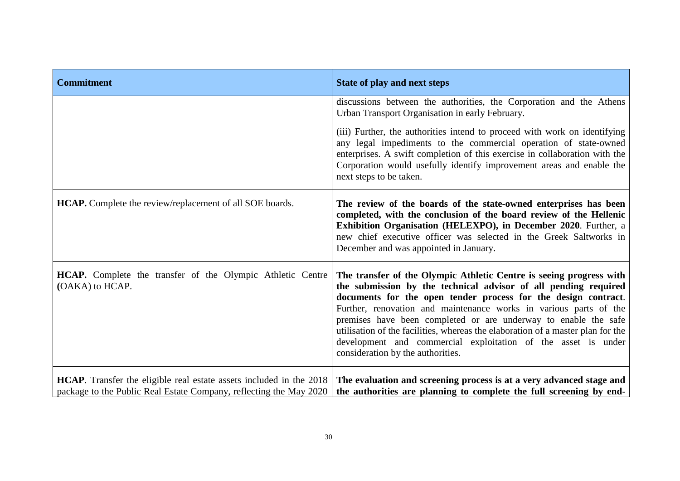| <b>Commitment</b>                                                                                                                         | <b>State of play and next steps</b>                                                                                                                                                                                                                                                                                                                                                                                                                                                                                                       |
|-------------------------------------------------------------------------------------------------------------------------------------------|-------------------------------------------------------------------------------------------------------------------------------------------------------------------------------------------------------------------------------------------------------------------------------------------------------------------------------------------------------------------------------------------------------------------------------------------------------------------------------------------------------------------------------------------|
|                                                                                                                                           | discussions between the authorities, the Corporation and the Athens<br>Urban Transport Organisation in early February.                                                                                                                                                                                                                                                                                                                                                                                                                    |
|                                                                                                                                           | (iii) Further, the authorities intend to proceed with work on identifying<br>any legal impediments to the commercial operation of state-owned<br>enterprises. A swift completion of this exercise in collaboration with the<br>Corporation would usefully identify improvement areas and enable the<br>next steps to be taken.                                                                                                                                                                                                            |
| <b>HCAP.</b> Complete the review/replacement of all SOE boards.                                                                           | The review of the boards of the state-owned enterprises has been<br>completed, with the conclusion of the board review of the Hellenic<br>Exhibition Organisation (HELEXPO), in December 2020. Further, a<br>new chief executive officer was selected in the Greek Saltworks in<br>December and was appointed in January.                                                                                                                                                                                                                 |
| <b>HCAP.</b> Complete the transfer of the Olympic Athletic Centre<br>(OAKA) to HCAP.                                                      | The transfer of the Olympic Athletic Centre is seeing progress with<br>the submission by the technical advisor of all pending required<br>documents for the open tender process for the design contract.<br>Further, renovation and maintenance works in various parts of the<br>premises have been completed or are underway to enable the safe<br>utilisation of the facilities, whereas the elaboration of a master plan for the<br>development and commercial exploitation of the asset is under<br>consideration by the authorities. |
| HCAP. Transfer the eligible real estate assets included in the 2018<br>package to the Public Real Estate Company, reflecting the May 2020 | The evaluation and screening process is at a very advanced stage and<br>the authorities are planning to complete the full screening by end-                                                                                                                                                                                                                                                                                                                                                                                               |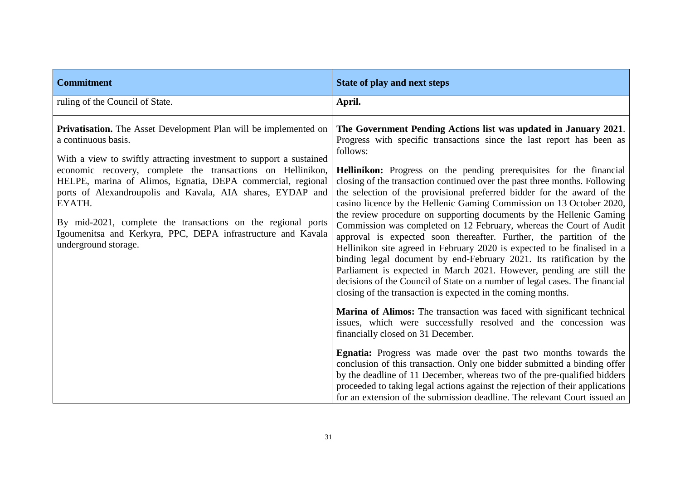| <b>Commitment</b>                                                                                                                                                                                                                                                                                                                                                                                                                                                                                                                   | <b>State of play and next steps</b>                                                                                                                                                                                                                                                                                                                                                                                                                                                                                                                                                                                                                                                                                                                                                                                                                                                                                                                                                                                                                                                                                                                                                                                                                                                                                                                                                                                                                                                                                                                                                                                                              |
|-------------------------------------------------------------------------------------------------------------------------------------------------------------------------------------------------------------------------------------------------------------------------------------------------------------------------------------------------------------------------------------------------------------------------------------------------------------------------------------------------------------------------------------|--------------------------------------------------------------------------------------------------------------------------------------------------------------------------------------------------------------------------------------------------------------------------------------------------------------------------------------------------------------------------------------------------------------------------------------------------------------------------------------------------------------------------------------------------------------------------------------------------------------------------------------------------------------------------------------------------------------------------------------------------------------------------------------------------------------------------------------------------------------------------------------------------------------------------------------------------------------------------------------------------------------------------------------------------------------------------------------------------------------------------------------------------------------------------------------------------------------------------------------------------------------------------------------------------------------------------------------------------------------------------------------------------------------------------------------------------------------------------------------------------------------------------------------------------------------------------------------------------------------------------------------------------|
| ruling of the Council of State.                                                                                                                                                                                                                                                                                                                                                                                                                                                                                                     | April.                                                                                                                                                                                                                                                                                                                                                                                                                                                                                                                                                                                                                                                                                                                                                                                                                                                                                                                                                                                                                                                                                                                                                                                                                                                                                                                                                                                                                                                                                                                                                                                                                                           |
| <b>Privatisation.</b> The Asset Development Plan will be implemented on<br>a continuous basis.<br>With a view to swiftly attracting investment to support a sustained<br>economic recovery, complete the transactions on Hellinikon,<br>HELPE, marina of Alimos, Egnatia, DEPA commercial, regional<br>ports of Alexandroupolis and Kavala, AIA shares, EYDAP and<br>EYATH.<br>By mid-2021, complete the transactions on the regional ports<br>Igoumenitsa and Kerkyra, PPC, DEPA infrastructure and Kavala<br>underground storage. | The Government Pending Actions list was updated in January 2021.<br>Progress with specific transactions since the last report has been as<br>follows:<br><b>Hellinikon:</b> Progress on the pending prerequisites for the financial<br>closing of the transaction continued over the past three months. Following<br>the selection of the provisional preferred bidder for the award of the<br>casino licence by the Hellenic Gaming Commission on 13 October 2020,<br>the review procedure on supporting documents by the Hellenic Gaming<br>Commission was completed on 12 February, whereas the Court of Audit<br>approval is expected soon thereafter. Further, the partition of the<br>Hellinikon site agreed in February 2020 is expected to be finalised in a<br>binding legal document by end-February 2021. Its ratification by the<br>Parliament is expected in March 2021. However, pending are still the<br>decisions of the Council of State on a number of legal cases. The financial<br>closing of the transaction is expected in the coming months.<br>Marina of Alimos: The transaction was faced with significant technical<br>issues, which were successfully resolved and the concession was<br>financially closed on 31 December.<br>Egnatia: Progress was made over the past two months towards the<br>conclusion of this transaction. Only one bidder submitted a binding offer<br>by the deadline of 11 December, whereas two of the pre-qualified bidders<br>proceeded to taking legal actions against the rejection of their applications<br>for an extension of the submission deadline. The relevant Court issued an |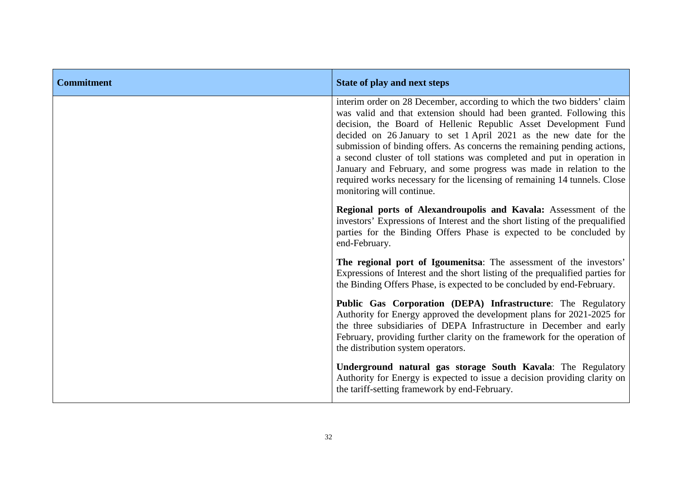| <b>Commitment</b> | State of play and next steps                                                                                                                                                                                                                                                                                                                                                                                                                                                                                                                                                                                                    |
|-------------------|---------------------------------------------------------------------------------------------------------------------------------------------------------------------------------------------------------------------------------------------------------------------------------------------------------------------------------------------------------------------------------------------------------------------------------------------------------------------------------------------------------------------------------------------------------------------------------------------------------------------------------|
|                   | interim order on 28 December, according to which the two bidders' claim<br>was valid and that extension should had been granted. Following this<br>decision, the Board of Hellenic Republic Asset Development Fund<br>decided on 26 January to set 1 April 2021 as the new date for the<br>submission of binding offers. As concerns the remaining pending actions,<br>a second cluster of toll stations was completed and put in operation in<br>January and February, and some progress was made in relation to the<br>required works necessary for the licensing of remaining 14 tunnels. Close<br>monitoring will continue. |
|                   | Regional ports of Alexandroupolis and Kavala: Assessment of the<br>investors' Expressions of Interest and the short listing of the prequalified<br>parties for the Binding Offers Phase is expected to be concluded by<br>end-February.                                                                                                                                                                                                                                                                                                                                                                                         |
|                   | The regional port of Igoumenitsa: The assessment of the investors'<br>Expressions of Interest and the short listing of the prequalified parties for<br>the Binding Offers Phase, is expected to be concluded by end-February.                                                                                                                                                                                                                                                                                                                                                                                                   |
|                   | Public Gas Corporation (DEPA) Infrastructure: The Regulatory<br>Authority for Energy approved the development plans for 2021-2025 for<br>the three subsidiaries of DEPA Infrastructure in December and early<br>February, providing further clarity on the framework for the operation of<br>the distribution system operators.                                                                                                                                                                                                                                                                                                 |
|                   | Underground natural gas storage South Kavala: The Regulatory<br>Authority for Energy is expected to issue a decision providing clarity on<br>the tariff-setting framework by end-February.                                                                                                                                                                                                                                                                                                                                                                                                                                      |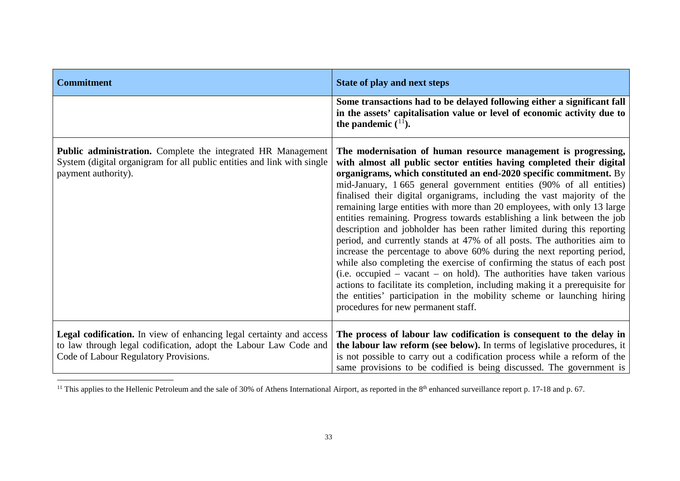<span id="page-36-0"></span>

| <b>Commitment</b>                                                                                                                                                                       | <b>State of play and next steps</b>                                                                                                                                                                                                                                                                                                                                                                                                                                                                                                                                                                                                                                                                                                                                                                                                                                                                                                                                                                                                                                                                                 |
|-----------------------------------------------------------------------------------------------------------------------------------------------------------------------------------------|---------------------------------------------------------------------------------------------------------------------------------------------------------------------------------------------------------------------------------------------------------------------------------------------------------------------------------------------------------------------------------------------------------------------------------------------------------------------------------------------------------------------------------------------------------------------------------------------------------------------------------------------------------------------------------------------------------------------------------------------------------------------------------------------------------------------------------------------------------------------------------------------------------------------------------------------------------------------------------------------------------------------------------------------------------------------------------------------------------------------|
|                                                                                                                                                                                         | Some transactions had to be delayed following either a significant fall<br>in the assets' capitalisation value or level of economic activity due to<br>the pandemic $(^{11})$ .                                                                                                                                                                                                                                                                                                                                                                                                                                                                                                                                                                                                                                                                                                                                                                                                                                                                                                                                     |
| Public administration. Complete the integrated HR Management<br>System (digital organigram for all public entities and link with single<br>payment authority).                          | The modernisation of human resource management is progressing,<br>with almost all public sector entities having completed their digital<br>organigrams, which constituted an end-2020 specific commitment. By<br>mid-January, 1 665 general government entities (90% of all entities)<br>finalised their digital organigrams, including the vast majority of the<br>remaining large entities with more than 20 employees, with only 13 large<br>entities remaining. Progress towards establishing a link between the job<br>description and jobholder has been rather limited during this reporting<br>period, and currently stands at 47% of all posts. The authorities aim to<br>increase the percentage to above 60% during the next reporting period,<br>while also completing the exercise of confirming the status of each post<br>$(i.e. occupied - vacant - on hold)$ . The authorities have taken various<br>actions to facilitate its completion, including making it a prerequisite for<br>the entities' participation in the mobility scheme or launching hiring<br>procedures for new permanent staff. |
| <b>Legal codification.</b> In view of enhancing legal certainty and access<br>to law through legal codification, adopt the Labour Law Code and<br>Code of Labour Regulatory Provisions. | The process of labour law codification is consequent to the delay in<br>the labour law reform (see below). In terms of legislative procedures, it<br>is not possible to carry out a codification process while a reform of the<br>same provisions to be codified is being discussed. The government is                                                                                                                                                                                                                                                                                                                                                                                                                                                                                                                                                                                                                                                                                                                                                                                                              |

<sup>&</sup>lt;sup>11</sup> This applies to the Hellenic Petroleum and the sale of 30% of Athens International Airport, as reported in the 8<sup>th</sup> enhanced surveillance report p. 17-18 and p. 67.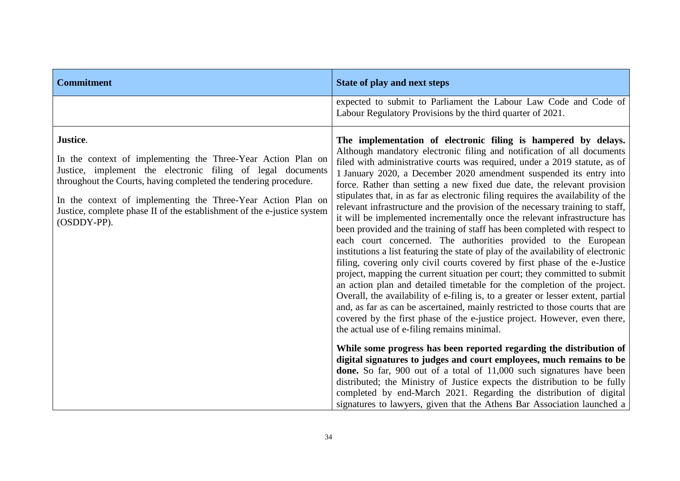| <b>Commitment</b>                                                                                                                                                                                                                                                                                                                                                     | <b>State of play and next steps</b>                                                                                                                                                                                                                                                                                                                                                                                                                                                                                                                                                                                                                                                                                                                                                                                                                                                                                                                                                                                                                                                                                                                                                                                                                                                                                                                                                                     |
|-----------------------------------------------------------------------------------------------------------------------------------------------------------------------------------------------------------------------------------------------------------------------------------------------------------------------------------------------------------------------|---------------------------------------------------------------------------------------------------------------------------------------------------------------------------------------------------------------------------------------------------------------------------------------------------------------------------------------------------------------------------------------------------------------------------------------------------------------------------------------------------------------------------------------------------------------------------------------------------------------------------------------------------------------------------------------------------------------------------------------------------------------------------------------------------------------------------------------------------------------------------------------------------------------------------------------------------------------------------------------------------------------------------------------------------------------------------------------------------------------------------------------------------------------------------------------------------------------------------------------------------------------------------------------------------------------------------------------------------------------------------------------------------------|
|                                                                                                                                                                                                                                                                                                                                                                       | expected to submit to Parliament the Labour Law Code and Code of<br>Labour Regulatory Provisions by the third quarter of 2021.                                                                                                                                                                                                                                                                                                                                                                                                                                                                                                                                                                                                                                                                                                                                                                                                                                                                                                                                                                                                                                                                                                                                                                                                                                                                          |
| Justice.<br>In the context of implementing the Three-Year Action Plan on<br>Justice, implement the electronic filing of legal documents<br>throughout the Courts, having completed the tendering procedure.<br>In the context of implementing the Three-Year Action Plan on<br>Justice, complete phase II of the establishment of the e-justice system<br>(OSDDY-PP). | The implementation of electronic filing is hampered by delays.<br>Although mandatory electronic filing and notification of all documents<br>filed with administrative courts was required, under a 2019 statute, as of<br>1 January 2020, a December 2020 amendment suspended its entry into<br>force. Rather than setting a new fixed due date, the relevant provision<br>stipulates that, in as far as electronic filing requires the availability of the<br>relevant infrastructure and the provision of the necessary training to staff,<br>it will be implemented incrementally once the relevant infrastructure has<br>been provided and the training of staff has been completed with respect to<br>each court concerned. The authorities provided to the European<br>institutions a list featuring the state of play of the availability of electronic<br>filing, covering only civil courts covered by first phase of the e-Justice<br>project, mapping the current situation per court; they committed to submit<br>an action plan and detailed timetable for the completion of the project.<br>Overall, the availability of e-filing is, to a greater or lesser extent, partial<br>and, as far as can be ascertained, mainly restricted to those courts that are<br>covered by the first phase of the e-justice project. However, even there,<br>the actual use of e-filing remains minimal. |
|                                                                                                                                                                                                                                                                                                                                                                       | While some progress has been reported regarding the distribution of<br>digital signatures to judges and court employees, much remains to be<br><b>done.</b> So far, 900 out of a total of 11,000 such signatures have been<br>distributed; the Ministry of Justice expects the distribution to be fully<br>completed by end-March 2021. Regarding the distribution of digital<br>signatures to lawyers, given that the Athens Bar Association launched a                                                                                                                                                                                                                                                                                                                                                                                                                                                                                                                                                                                                                                                                                                                                                                                                                                                                                                                                                |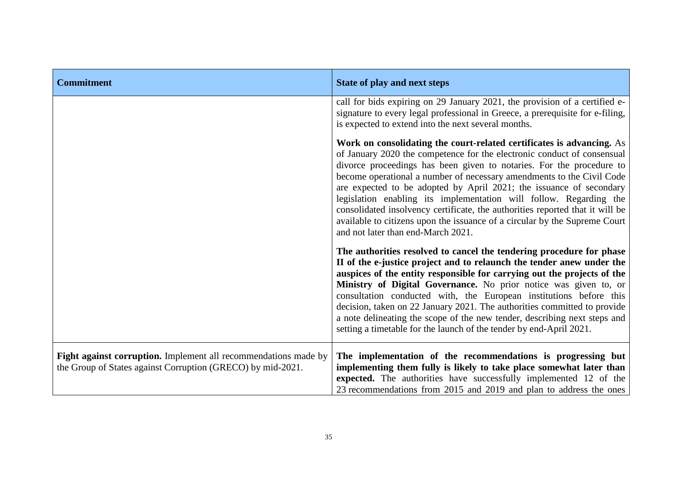| <b>Commitment</b>                                                                                                              | <b>State of play and next steps</b>                                                                                                                                                                                                                                                                                                                                                                                                                                                                                                                                                                                                                 |
|--------------------------------------------------------------------------------------------------------------------------------|-----------------------------------------------------------------------------------------------------------------------------------------------------------------------------------------------------------------------------------------------------------------------------------------------------------------------------------------------------------------------------------------------------------------------------------------------------------------------------------------------------------------------------------------------------------------------------------------------------------------------------------------------------|
|                                                                                                                                | call for bids expiring on 29 January 2021, the provision of a certified e-<br>signature to every legal professional in Greece, a prerequisite for e-filing,<br>is expected to extend into the next several months.                                                                                                                                                                                                                                                                                                                                                                                                                                  |
|                                                                                                                                | Work on consolidating the court-related certificates is advancing. As<br>of January 2020 the competence for the electronic conduct of consensual<br>divorce proceedings has been given to notaries. For the procedure to<br>become operational a number of necessary amendments to the Civil Code<br>are expected to be adopted by April 2021; the issuance of secondary<br>legislation enabling its implementation will follow. Regarding the<br>consolidated insolvency certificate, the authorities reported that it will be<br>available to citizens upon the issuance of a circular by the Supreme Court<br>and not later than end-March 2021. |
|                                                                                                                                | The authorities resolved to cancel the tendering procedure for phase<br>II of the e-justice project and to relaunch the tender anew under the<br>auspices of the entity responsible for carrying out the projects of the<br>Ministry of Digital Governance. No prior notice was given to, or<br>consultation conducted with, the European institutions before this<br>decision, taken on 22 January 2021. The authorities committed to provide<br>a note delineating the scope of the new tender, describing next steps and<br>setting a timetable for the launch of the tender by end-April 2021.                                                  |
| Fight against corruption. Implement all recommendations made by<br>the Group of States against Corruption (GRECO) by mid-2021. | The implementation of the recommendations is progressing but<br>implementing them fully is likely to take place somewhat later than<br>expected. The authorities have successfully implemented 12 of the<br>23 recommendations from 2015 and 2019 and plan to address the ones                                                                                                                                                                                                                                                                                                                                                                      |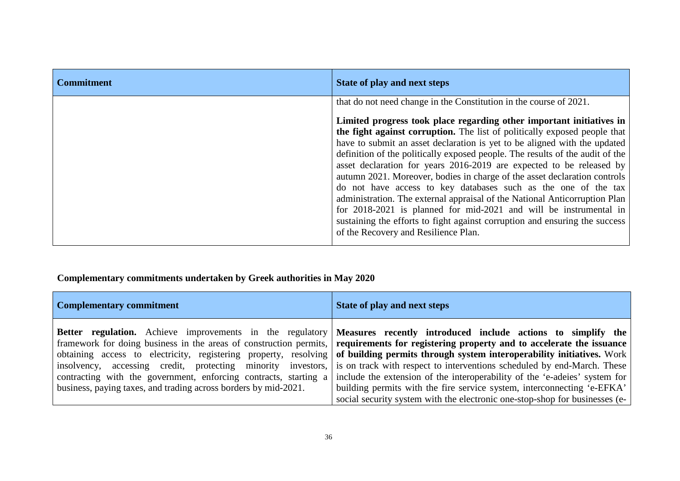| <b>Commitment</b> | <b>State of play and next steps</b>                                                                                                                                                                                                                                                                                                                                                                                                                                                                                                                                                                                                                                                                                                                                                                                                                                                    |
|-------------------|----------------------------------------------------------------------------------------------------------------------------------------------------------------------------------------------------------------------------------------------------------------------------------------------------------------------------------------------------------------------------------------------------------------------------------------------------------------------------------------------------------------------------------------------------------------------------------------------------------------------------------------------------------------------------------------------------------------------------------------------------------------------------------------------------------------------------------------------------------------------------------------|
|                   | that do not need change in the Constitution in the course of 2021.<br>Limited progress took place regarding other important initiatives in<br>the fight against corruption. The list of politically exposed people that<br>have to submit an asset declaration is yet to be aligned with the updated<br>definition of the politically exposed people. The results of the audit of the<br>asset declaration for years 2016-2019 are expected to be released by<br>autumn 2021. Moreover, bodies in charge of the asset declaration controls<br>do not have access to key databases such as the one of the tax<br>administration. The external appraisal of the National Anticorruption Plan<br>for 2018-2021 is planned for mid-2021 and will be instrumental in<br>sustaining the efforts to fight against corruption and ensuring the success<br>of the Recovery and Resilience Plan. |

# **Complementary commitments undertaken by Greek authorities in May 2020**

| <b>Complementary commitment</b>                                                                                                     | State of play and next steps                                                                                                                                                                                                                                                                                                                                                                                                                                                                                                                                                                                                                                                                                                                                                                |
|-------------------------------------------------------------------------------------------------------------------------------------|---------------------------------------------------------------------------------------------------------------------------------------------------------------------------------------------------------------------------------------------------------------------------------------------------------------------------------------------------------------------------------------------------------------------------------------------------------------------------------------------------------------------------------------------------------------------------------------------------------------------------------------------------------------------------------------------------------------------------------------------------------------------------------------------|
| contracting with the government, enforcing contracts, starting a<br>business, paying taxes, and trading across borders by mid-2021. | Better regulation. Achieve improvements in the regulatory Measures recently introduced include actions to simplify the<br>framework for doing business in the areas of construction permits, requirements for registering property and to accelerate the issuance<br>obtaining access to electricity, registering property, resolving of building permits through system interoperability initiatives. Work<br>insolvency, accessing credit, protecting minority investors, is on track with respect to interventions scheduled by end-March. These<br>include the extension of the interoperability of the 'e-adeies' system for<br>building permits with the fire service system, interconnecting 'e-EFKA'<br>social security system with the electronic one-stop-shop for businesses (e- |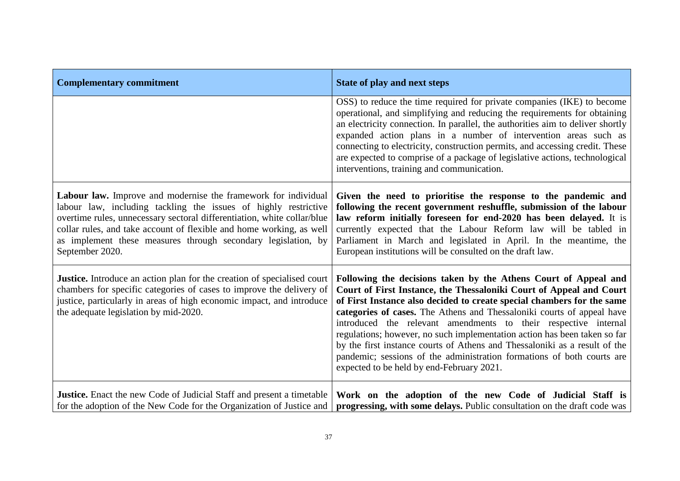| <b>Complementary commitment</b>                                                                                                                                                                                                                                                                                                                                          | <b>State of play and next steps</b>                                                                                                                                                                                                                                                                                                                                                                                                                                                                                                                                                                                                             |
|--------------------------------------------------------------------------------------------------------------------------------------------------------------------------------------------------------------------------------------------------------------------------------------------------------------------------------------------------------------------------|-------------------------------------------------------------------------------------------------------------------------------------------------------------------------------------------------------------------------------------------------------------------------------------------------------------------------------------------------------------------------------------------------------------------------------------------------------------------------------------------------------------------------------------------------------------------------------------------------------------------------------------------------|
|                                                                                                                                                                                                                                                                                                                                                                          | OSS) to reduce the time required for private companies (IKE) to become<br>operational, and simplifying and reducing the requirements for obtaining<br>an electricity connection. In parallel, the authorities aim to deliver shortly<br>expanded action plans in a number of intervention areas such as<br>connecting to electricity, construction permits, and accessing credit. These<br>are expected to comprise of a package of legislative actions, technological<br>interventions, training and communication.                                                                                                                            |
| Labour law. Improve and modernise the framework for individual<br>labour law, including tackling the issues of highly restrictive<br>overtime rules, unnecessary sectoral differentiation, white collar/blue<br>collar rules, and take account of flexible and home working, as well<br>as implement these measures through secondary legislation, by<br>September 2020. | Given the need to prioritise the response to the pandemic and<br>following the recent government reshuffle, submission of the labour<br>law reform initially foreseen for end-2020 has been delayed. It is<br>currently expected that the Labour Reform law will be tabled in<br>Parliament in March and legislated in April. In the meantime, the<br>European institutions will be consulted on the draft law.                                                                                                                                                                                                                                 |
| <b>Justice.</b> Introduce an action plan for the creation of specialised court<br>chambers for specific categories of cases to improve the delivery of<br>justice, particularly in areas of high economic impact, and introduce<br>the adequate legislation by mid-2020.                                                                                                 | Following the decisions taken by the Athens Court of Appeal and<br>Court of First Instance, the Thessaloniki Court of Appeal and Court<br>of First Instance also decided to create special chambers for the same<br>categories of cases. The Athens and Thessaloniki courts of appeal have<br>introduced the relevant amendments to their respective internal<br>regulations; however, no such implementation action has been taken so far<br>by the first instance courts of Athens and Thessaloniki as a result of the<br>pandemic; sessions of the administration formations of both courts are<br>expected to be held by end-February 2021. |
| <b>Justice.</b> Enact the new Code of Judicial Staff and present a timetable<br>for the adoption of the New Code for the Organization of Justice and                                                                                                                                                                                                                     | Work on the adoption of the new Code of Judicial Staff is<br>progressing, with some delays. Public consultation on the draft code was                                                                                                                                                                                                                                                                                                                                                                                                                                                                                                           |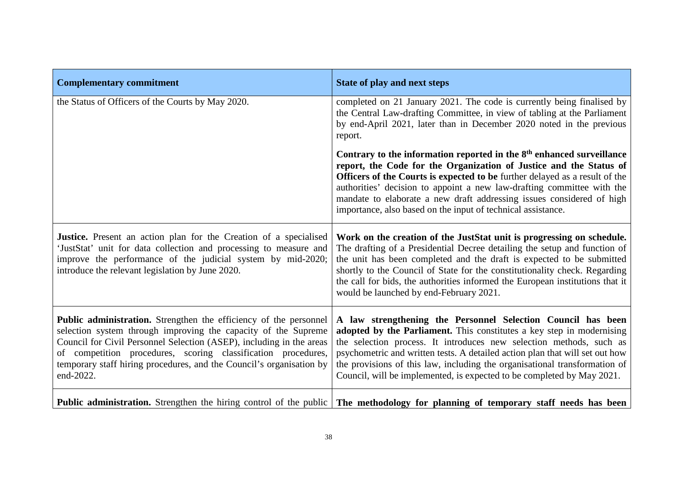| <b>Complementary commitment</b>                                                                                                                                                                                                                                                                                                                                   | <b>State of play and next steps</b>                                                                                                                                                                                                                                                                                                                                                                                                                              |
|-------------------------------------------------------------------------------------------------------------------------------------------------------------------------------------------------------------------------------------------------------------------------------------------------------------------------------------------------------------------|------------------------------------------------------------------------------------------------------------------------------------------------------------------------------------------------------------------------------------------------------------------------------------------------------------------------------------------------------------------------------------------------------------------------------------------------------------------|
| the Status of Officers of the Courts by May 2020.                                                                                                                                                                                                                                                                                                                 | completed on 21 January 2021. The code is currently being finalised by<br>the Central Law-drafting Committee, in view of tabling at the Parliament<br>by end-April 2021, later than in December 2020 noted in the previous<br>report.                                                                                                                                                                                                                            |
|                                                                                                                                                                                                                                                                                                                                                                   | Contrary to the information reported in the 8 <sup>th</sup> enhanced surveillance<br>report, the Code for the Organization of Justice and the Status of<br><b>Officers of the Courts is expected to be further delayed as a result of the</b><br>authorities' decision to appoint a new law-drafting committee with the<br>mandate to elaborate a new draft addressing issues considered of high<br>importance, also based on the input of technical assistance. |
| <b>Justice.</b> Present an action plan for the Creation of a specialised<br>'JustStat' unit for data collection and processing to measure and<br>improve the performance of the judicial system by mid-2020;<br>introduce the relevant legislation by June 2020.                                                                                                  | Work on the creation of the JustStat unit is progressing on schedule.<br>The drafting of a Presidential Decree detailing the setup and function of<br>the unit has been completed and the draft is expected to be submitted<br>shortly to the Council of State for the constitutionality check. Regarding<br>the call for bids, the authorities informed the European institutions that it<br>would be launched by end-February 2021.                            |
| Public administration. Strengthen the efficiency of the personnel<br>selection system through improving the capacity of the Supreme<br>Council for Civil Personnel Selection (ASEP), including in the areas<br>of competition procedures, scoring classification procedures,<br>temporary staff hiring procedures, and the Council's organisation by<br>end-2022. | A law strengthening the Personnel Selection Council has been<br>adopted by the Parliament. This constitutes a key step in modernising<br>the selection process. It introduces new selection methods, such as<br>psychometric and written tests. A detailed action plan that will set out how<br>the provisions of this law, including the organisational transformation of<br>Council, will be implemented, is expected to be completed by May 2021.             |
|                                                                                                                                                                                                                                                                                                                                                                   | <b>Public administration.</b> Strengthen the hiring control of the public <b>The methodology for planning of temporary staff needs has been</b>                                                                                                                                                                                                                                                                                                                  |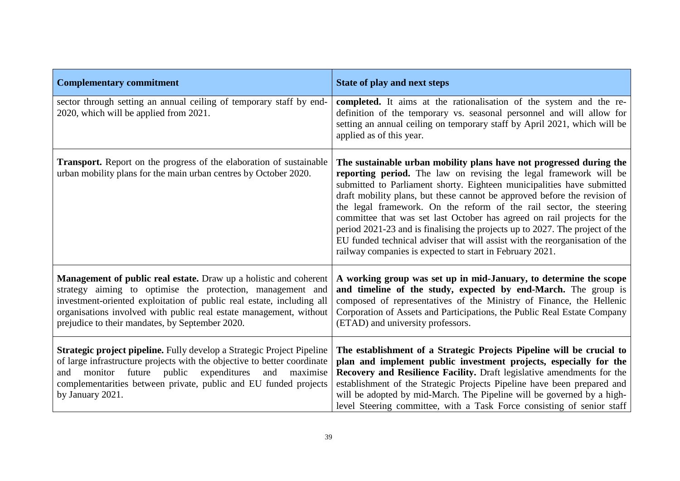| <b>Complementary commitment</b>                                                                                                                                                                                                                                                                                                   | <b>State of play and next steps</b>                                                                                                                                                                                                                                                                                                                                                                                                                                                                                                                                                                                                                                          |
|-----------------------------------------------------------------------------------------------------------------------------------------------------------------------------------------------------------------------------------------------------------------------------------------------------------------------------------|------------------------------------------------------------------------------------------------------------------------------------------------------------------------------------------------------------------------------------------------------------------------------------------------------------------------------------------------------------------------------------------------------------------------------------------------------------------------------------------------------------------------------------------------------------------------------------------------------------------------------------------------------------------------------|
| sector through setting an annual ceiling of temporary staff by end-<br>2020, which will be applied from 2021.                                                                                                                                                                                                                     | completed. It aims at the rationalisation of the system and the re-<br>definition of the temporary vs. seasonal personnel and will allow for<br>setting an annual ceiling on temporary staff by April 2021, which will be<br>applied as of this year.                                                                                                                                                                                                                                                                                                                                                                                                                        |
| Transport. Report on the progress of the elaboration of sustainable<br>urban mobility plans for the main urban centres by October 2020.                                                                                                                                                                                           | The sustainable urban mobility plans have not progressed during the<br>reporting period. The law on revising the legal framework will be<br>submitted to Parliament shorty. Eighteen municipalities have submitted<br>draft mobility plans, but these cannot be approved before the revision of<br>the legal framework. On the reform of the rail sector, the steering<br>committee that was set last October has agreed on rail projects for the<br>period 2021-23 and is finalising the projects up to 2027. The project of the<br>EU funded technical adviser that will assist with the reorganisation of the<br>railway companies is expected to start in February 2021. |
| Management of public real estate. Draw up a holistic and coherent<br>strategy aiming to optimise the protection, management and<br>investment-oriented exploitation of public real estate, including all<br>organisations involved with public real estate management, without<br>prejudice to their mandates, by September 2020. | A working group was set up in mid-January, to determine the scope<br>and timeline of the study, expected by end-March. The group is<br>composed of representatives of the Ministry of Finance, the Hellenic<br>Corporation of Assets and Participations, the Public Real Estate Company<br>(ETAD) and university professors.                                                                                                                                                                                                                                                                                                                                                 |
| Strategic project pipeline. Fully develop a Strategic Project Pipeline<br>of large infrastructure projects with the objective to better coordinate<br>public<br>expenditures<br>maximise<br>future<br>and<br>monitor<br>and<br>complementarities between private, public and EU funded projects<br>by January 2021.               | The establishment of a Strategic Projects Pipeline will be crucial to<br>plan and implement public investment projects, especially for the<br>Recovery and Resilience Facility. Draft legislative amendments for the<br>establishment of the Strategic Projects Pipeline have been prepared and<br>will be adopted by mid-March. The Pipeline will be governed by a high-<br>level Steering committee, with a Task Force consisting of senior staff                                                                                                                                                                                                                          |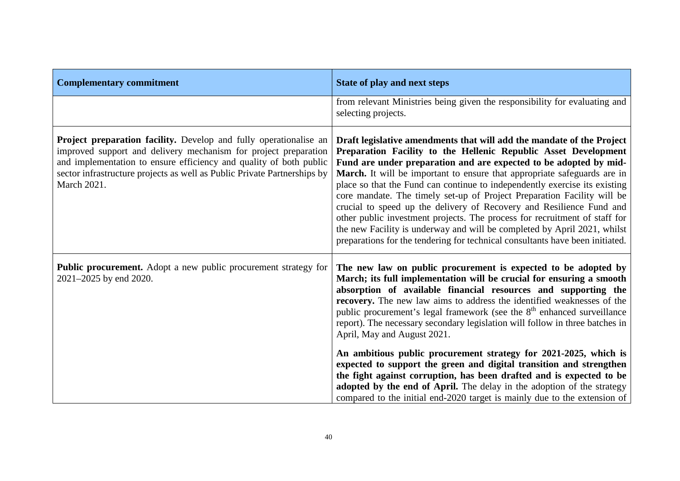| <b>Complementary commitment</b>                                                                                                                                                                                                                                                                       | <b>State of play and next steps</b>                                                                                                                                                                                                                                                                                                                                                                                                                                                                                                                                                                                                                                                                                                                                   |
|-------------------------------------------------------------------------------------------------------------------------------------------------------------------------------------------------------------------------------------------------------------------------------------------------------|-----------------------------------------------------------------------------------------------------------------------------------------------------------------------------------------------------------------------------------------------------------------------------------------------------------------------------------------------------------------------------------------------------------------------------------------------------------------------------------------------------------------------------------------------------------------------------------------------------------------------------------------------------------------------------------------------------------------------------------------------------------------------|
|                                                                                                                                                                                                                                                                                                       | from relevant Ministries being given the responsibility for evaluating and<br>selecting projects.                                                                                                                                                                                                                                                                                                                                                                                                                                                                                                                                                                                                                                                                     |
| Project preparation facility. Develop and fully operationalise an<br>improved support and delivery mechanism for project preparation<br>and implementation to ensure efficiency and quality of both public<br>sector infrastructure projects as well as Public Private Partnerships by<br>March 2021. | Draft legislative amendments that will add the mandate of the Project<br>Preparation Facility to the Hellenic Republic Asset Development<br>Fund are under preparation and are expected to be adopted by mid-<br>March. It will be important to ensure that appropriate safeguards are in<br>place so that the Fund can continue to independently exercise its existing<br>core mandate. The timely set-up of Project Preparation Facility will be<br>crucial to speed up the delivery of Recovery and Resilience Fund and<br>other public investment projects. The process for recruitment of staff for<br>the new Facility is underway and will be completed by April 2021, whilst<br>preparations for the tendering for technical consultants have been initiated. |
| Public procurement. Adopt a new public procurement strategy for<br>2021–2025 by end 2020.                                                                                                                                                                                                             | The new law on public procurement is expected to be adopted by<br>March; its full implementation will be crucial for ensuring a smooth<br>absorption of available financial resources and supporting the<br>recovery. The new law aims to address the identified weaknesses of the<br>public procurement's legal framework (see the 8 <sup>th</sup> enhanced surveillance<br>report). The necessary secondary legislation will follow in three batches in<br>April, May and August 2021.                                                                                                                                                                                                                                                                              |
|                                                                                                                                                                                                                                                                                                       | An ambitious public procurement strategy for 2021-2025, which is<br>expected to support the green and digital transition and strengthen<br>the fight against corruption, has been drafted and is expected to be<br>adopted by the end of April. The delay in the adoption of the strategy<br>compared to the initial end-2020 target is mainly due to the extension of                                                                                                                                                                                                                                                                                                                                                                                                |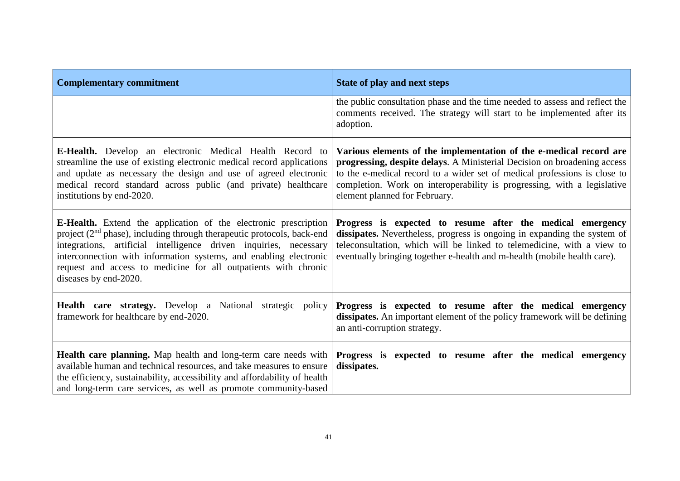| <b>Complementary commitment</b>                                                                                                                                                                                                                                                                                                                                                          | State of play and next steps                                                                                                                                                                                                                                                                                                            |
|------------------------------------------------------------------------------------------------------------------------------------------------------------------------------------------------------------------------------------------------------------------------------------------------------------------------------------------------------------------------------------------|-----------------------------------------------------------------------------------------------------------------------------------------------------------------------------------------------------------------------------------------------------------------------------------------------------------------------------------------|
|                                                                                                                                                                                                                                                                                                                                                                                          | the public consultation phase and the time needed to assess and reflect the<br>comments received. The strategy will start to be implemented after its<br>adoption.                                                                                                                                                                      |
| <b>E-Health.</b> Develop an electronic Medical Health Record to<br>streamline the use of existing electronic medical record applications<br>and update as necessary the design and use of agreed electronic<br>medical record standard across public (and private) healthcare<br>institutions by end-2020.                                                                               | Various elements of the implementation of the e-medical record are<br>progressing, despite delays. A Ministerial Decision on broadening access<br>to the e-medical record to a wider set of medical professions is close to<br>completion. Work on interoperability is progressing, with a legislative<br>element planned for February. |
| <b>E-Health.</b> Extend the application of the electronic prescription<br>project $(2nd$ phase), including through therapeutic protocols, back-end<br>integrations, artificial intelligence driven inquiries, necessary<br>interconnection with information systems, and enabling electronic<br>request and access to medicine for all outpatients with chronic<br>diseases by end-2020. | Progress is expected to resume after the medical emergency<br>dissipates. Nevertheless, progress is ongoing in expanding the system of<br>teleconsultation, which will be linked to telemedicine, with a view to<br>eventually bringing together e-health and m-health (mobile health care).                                            |
| Health care strategy. Develop a National strategic policy<br>framework for healthcare by end-2020.                                                                                                                                                                                                                                                                                       | Progress is expected to resume after the medical emergency<br>dissipates. An important element of the policy framework will be defining<br>an anti-corruption strategy.                                                                                                                                                                 |
| Health care planning. Map health and long-term care needs with<br>available human and technical resources, and take measures to ensure<br>the efficiency, sustainability, accessibility and affordability of health<br>and long-term care services, as well as promote community-based                                                                                                   | Progress is expected to resume after the medical emergency<br>dissipates.                                                                                                                                                                                                                                                               |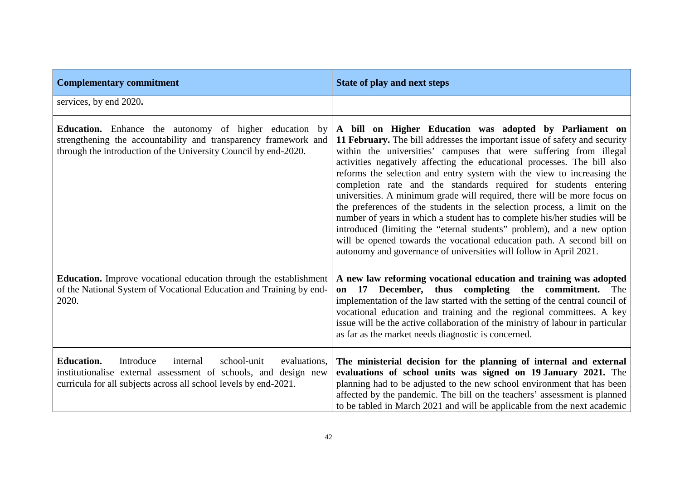| <b>Complementary commitment</b>                                                                                                                                                                                  | <b>State of play and next steps</b>                                                                                                                                                                                                                                                                                                                                                                                                                                                                                                                                                                                                                                                                                                                                                                                                                                                                   |
|------------------------------------------------------------------------------------------------------------------------------------------------------------------------------------------------------------------|-------------------------------------------------------------------------------------------------------------------------------------------------------------------------------------------------------------------------------------------------------------------------------------------------------------------------------------------------------------------------------------------------------------------------------------------------------------------------------------------------------------------------------------------------------------------------------------------------------------------------------------------------------------------------------------------------------------------------------------------------------------------------------------------------------------------------------------------------------------------------------------------------------|
| services, by end 2020.                                                                                                                                                                                           |                                                                                                                                                                                                                                                                                                                                                                                                                                                                                                                                                                                                                                                                                                                                                                                                                                                                                                       |
| <b>Education.</b> Enhance the autonomy of higher education by<br>strengthening the accountability and transparency framework and<br>through the introduction of the University Council by end-2020.              | A bill on Higher Education was adopted by Parliament on<br>11 February. The bill addresses the important issue of safety and security<br>within the universities' campuses that were suffering from illegal<br>activities negatively affecting the educational processes. The bill also<br>reforms the selection and entry system with the view to increasing the<br>completion rate and the standards required for students entering<br>universities. A minimum grade will required, there will be more focus on<br>the preferences of the students in the selection process, a limit on the<br>number of years in which a student has to complete his/her studies will be<br>introduced (limiting the "eternal students" problem), and a new option<br>will be opened towards the vocational education path. A second bill on<br>autonomy and governance of universities will follow in April 2021. |
| <b>Education.</b> Improve vocational education through the establishment<br>of the National System of Vocational Education and Training by end-<br>2020.                                                         | A new law reforming vocational education and training was adopted<br>17 December, thus completing the commitment.<br>The<br>on<br>implementation of the law started with the setting of the central council of<br>vocational education and training and the regional committees. A key<br>issue will be the active collaboration of the ministry of labour in particular<br>as far as the market needs diagnostic is concerned.                                                                                                                                                                                                                                                                                                                                                                                                                                                                       |
| <b>Education.</b><br>Introduce<br>school-unit<br>internal<br>evaluations,<br>institutionalise external assessment of schools, and design new<br>curricula for all subjects across all school levels by end-2021. | The ministerial decision for the planning of internal and external<br>evaluations of school units was signed on 19 January 2021. The<br>planning had to be adjusted to the new school environment that has been<br>affected by the pandemic. The bill on the teachers' assessment is planned<br>to be tabled in March 2021 and will be applicable from the next academic                                                                                                                                                                                                                                                                                                                                                                                                                                                                                                                              |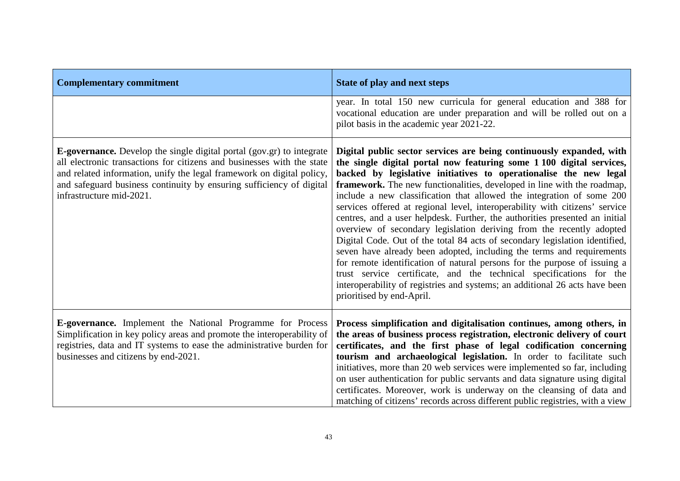| <b>Complementary commitment</b>                                                                                                                                                                                                                                                                                                     | <b>State of play and next steps</b>                                                                                                                                                                                                                                                                                                                                                                                                                                                                                                                                                                                                                                                                                                                                                                                                                                                                                                                                                                                                 |
|-------------------------------------------------------------------------------------------------------------------------------------------------------------------------------------------------------------------------------------------------------------------------------------------------------------------------------------|-------------------------------------------------------------------------------------------------------------------------------------------------------------------------------------------------------------------------------------------------------------------------------------------------------------------------------------------------------------------------------------------------------------------------------------------------------------------------------------------------------------------------------------------------------------------------------------------------------------------------------------------------------------------------------------------------------------------------------------------------------------------------------------------------------------------------------------------------------------------------------------------------------------------------------------------------------------------------------------------------------------------------------------|
|                                                                                                                                                                                                                                                                                                                                     | year. In total 150 new curricula for general education and 388 for<br>vocational education are under preparation and will be rolled out on a<br>pilot basis in the academic year 2021-22.                                                                                                                                                                                                                                                                                                                                                                                                                                                                                                                                                                                                                                                                                                                                                                                                                                           |
| <b>E-governance.</b> Develop the single digital portal (gov.gr) to integrate<br>all electronic transactions for citizens and businesses with the state<br>and related information, unify the legal framework on digital policy,<br>and safeguard business continuity by ensuring sufficiency of digital<br>infrastructure mid-2021. | Digital public sector services are being continuously expanded, with<br>the single digital portal now featuring some 1 100 digital services,<br>backed by legislative initiatives to operationalise the new legal<br>framework. The new functionalities, developed in line with the roadmap,<br>include a new classification that allowed the integration of some 200<br>services offered at regional level, interoperability with citizens' service<br>centres, and a user helpdesk. Further, the authorities presented an initial<br>overview of secondary legislation deriving from the recently adopted<br>Digital Code. Out of the total 84 acts of secondary legislation identified,<br>seven have already been adopted, including the terms and requirements<br>for remote identification of natural persons for the purpose of issuing a<br>trust service certificate, and the technical specifications for the<br>interoperability of registries and systems; an additional 26 acts have been<br>prioritised by end-April. |
| E-governance. Implement the National Programme for Process<br>Simplification in key policy areas and promote the interoperability of<br>registries, data and IT systems to ease the administrative burden for<br>businesses and citizens by end-2021.                                                                               | Process simplification and digitalisation continues, among others, in<br>the areas of business process registration, electronic delivery of court<br>certificates, and the first phase of legal codification concerning<br>tourism and archaeological legislation. In order to facilitate such<br>initiatives, more than 20 web services were implemented so far, including<br>on user authentication for public servants and data signature using digital<br>certificates. Moreover, work is underway on the cleansing of data and<br>matching of citizens' records across different public registries, with a view                                                                                                                                                                                                                                                                                                                                                                                                                |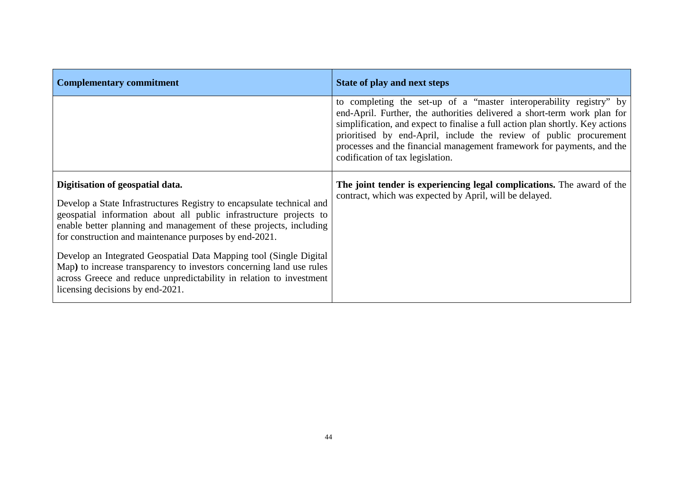| <b>Complementary commitment</b>                                                                                                                                                                                                                                                                                                                                                                                                                                                                                                                                          | State of play and next steps                                                                                                                                                                                                                                                                                                                                                                                          |
|--------------------------------------------------------------------------------------------------------------------------------------------------------------------------------------------------------------------------------------------------------------------------------------------------------------------------------------------------------------------------------------------------------------------------------------------------------------------------------------------------------------------------------------------------------------------------|-----------------------------------------------------------------------------------------------------------------------------------------------------------------------------------------------------------------------------------------------------------------------------------------------------------------------------------------------------------------------------------------------------------------------|
|                                                                                                                                                                                                                                                                                                                                                                                                                                                                                                                                                                          | to completing the set-up of a "master interoperability registry" by<br>end-April. Further, the authorities delivered a short-term work plan for<br>simplification, and expect to finalise a full action plan shortly. Key actions<br>prioritised by end-April, include the review of public procurement<br>processes and the financial management framework for payments, and the<br>codification of tax legislation. |
| Digitisation of geospatial data.<br>Develop a State Infrastructures Registry to encapsulate technical and<br>geospatial information about all public infrastructure projects to<br>enable better planning and management of these projects, including<br>for construction and maintenance purposes by end-2021.<br>Develop an Integrated Geospatial Data Mapping tool (Single Digital<br>Map) to increase transparency to investors concerning land use rules<br>across Greece and reduce unpredictability in relation to investment<br>licensing decisions by end-2021. | The joint tender is experiencing legal complications. The award of the<br>contract, which was expected by April, will be delayed.                                                                                                                                                                                                                                                                                     |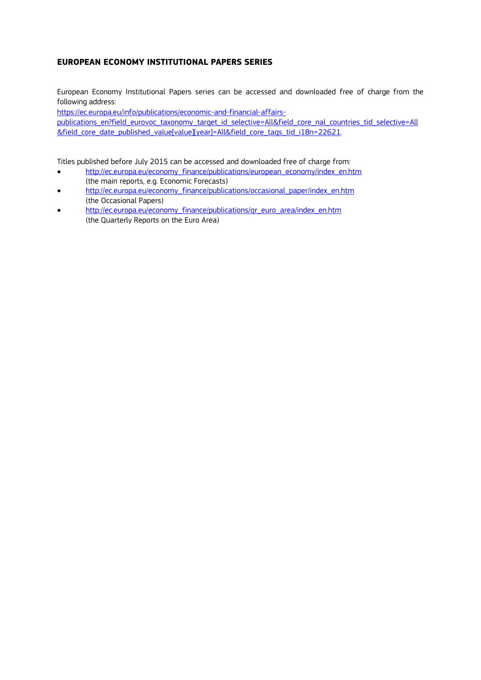#### **EUROPEAN ECONOMY INSTITUTIONAL PAPERS SERIES**

European Economy Institutional Papers series can be accessed and downloaded free of charge from the following address:

[https://ec.europa.eu/info/publications/economic-and-financial-affairs](https://ec.europa.eu/info/publications/economic-and-financial-affairs-publications_en?field_eurovoc_taxonomy_target_id_selective=All&field_core_nal_countries_tid_selective=All&field_core_date_published_value%5bvalue%5d%5byear%5d=All&field_core_tags_tid_i18n=22621)[publications\\_en?field\\_eurovoc\\_taxonomy\\_target\\_id\\_selective=All&field\\_core\\_nal\\_countries\\_tid\\_selective=All](https://ec.europa.eu/info/publications/economic-and-financial-affairs-publications_en?field_eurovoc_taxonomy_target_id_selective=All&field_core_nal_countries_tid_selective=All&field_core_date_published_value%5bvalue%5d%5byear%5d=All&field_core_tags_tid_i18n=22621) &field core date published value[value][year]=All&field core tags tid i18n=22621.

Titles published before July 2015 can be accessed and downloaded free of charge from:

- [http://ec.europa.eu/economy\\_finance/publications/european\\_economy/index\\_en.htm](http://ec.europa.eu/economy_finance/publications/european_economy/index_en.htm) (the main reports, e.g. Economic Forecasts)
- [http://ec.europa.eu/economy\\_finance/publications/occasional\\_paper/index\\_en.htm](http://ec.europa.eu/economy_finance/publications/occasional_paper/index_en.htm) (the Occasional Papers)
- [http://ec.europa.eu/economy\\_finance/publications/qr\\_euro\\_area/index\\_en.htm](http://ec.europa.eu/economy_finance/publications/qr_euro_area/index_en.htm) (the Quarterly Reports on the Euro Area)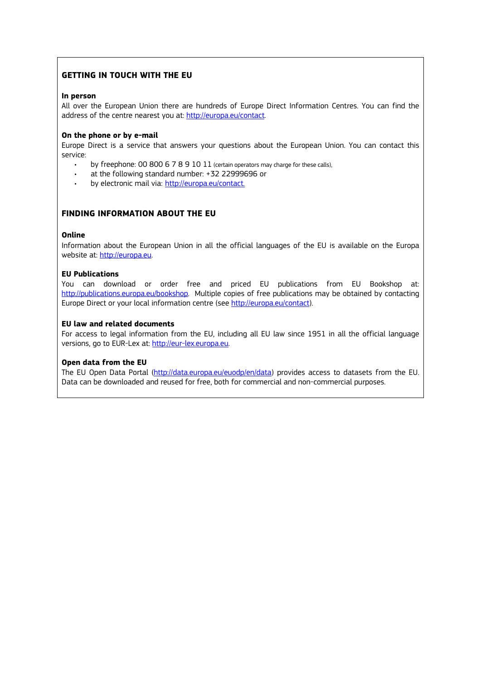#### **GETTING IN TOUCH WITH THE EU**

#### **In person**

All over the European Union there are hundreds of Europe Direct Information Centres. You can find the address of the centre nearest you at: [http://europa.eu/contact.](http://europa.eu/contact)

#### **On the phone or by e-mail**

Europe Direct is a service that answers your questions about the European Union. You can contact this service:

- by freephone: 00 800 6 7 8 9 10 11 (certain operators may charge for these calls),
- at the following standard number: +32 22999696 or
- by electronic mail via: <http://europa.eu/contact>.

#### **FINDING INFORMATION ABOUT THE EU**

#### **Online**

Information about the European Union in all the official languages of the EU is available on the Europa website at: [http://europa.eu.](http://europa.eu/)

#### **EU Publications**

You can download or order free and priced EU publications from EU Bookshop at: [http://publications.europa.eu/bookshop.](http://publications.europa.eu/bookshop) Multiple copies of free publications may be obtained by contacting Europe Direct or your local information centre (see<http://europa.eu/contact>).

#### **EU law and related documents**

For access to legal information from the EU, including all EU law since 1951 in all the official language versions, go to EUR-Lex at: [http://eur-lex.europa.eu.](http://eur-lex.europa.eu/)

#### **Open data from the EU**

The EU Open Data Portal [\(http://data.europa.eu/euodp/en/data](http://data.europa.eu/euodp/en/data)) provides access to datasets from the EU. Data can be downloaded and reused for free, both for commercial and non-commercial purposes.